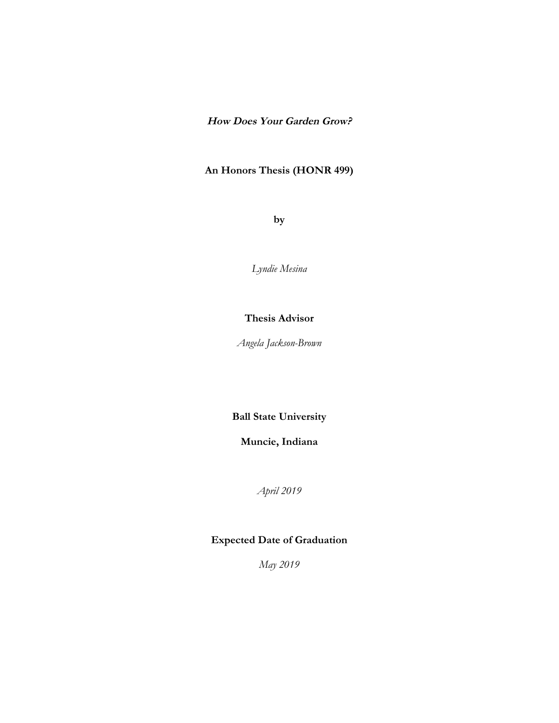# **How Does Your Garden Grow?**

# **An Honors Thesis (HONR 499)**

**by**

*Lyndie Mesina*

# **Thesis Advisor**

*Angela Jackson-Brown*

**Ball State University**

**Muncie, Indiana**

*April 2019*

# **Expected Date of Graduation**

*May 2019*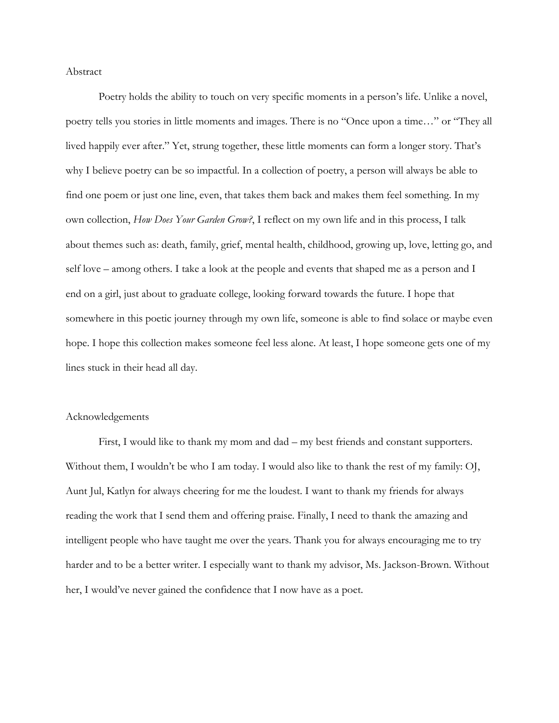Abstract

Poetry holds the ability to touch on very specific moments in a person's life. Unlike a novel, poetry tells you stories in little moments and images. There is no "Once upon a time…" or "They all lived happily ever after." Yet, strung together, these little moments can form a longer story. That's why I believe poetry can be so impactful. In a collection of poetry, a person will always be able to find one poem or just one line, even, that takes them back and makes them feel something. In my own collection, *How Does Your Garden Grow?*, I reflect on my own life and in this process, I talk about themes such as: death, family, grief, mental health, childhood, growing up, love, letting go, and self love – among others. I take a look at the people and events that shaped me as a person and I end on a girl, just about to graduate college, looking forward towards the future. I hope that somewhere in this poetic journey through my own life, someone is able to find solace or maybe even hope. I hope this collection makes someone feel less alone. At least, I hope someone gets one of my lines stuck in their head all day.

## Acknowledgements

First, I would like to thank my mom and dad – my best friends and constant supporters. Without them, I wouldn't be who I am today. I would also like to thank the rest of my family: OJ, Aunt Jul, Katlyn for always cheering for me the loudest. I want to thank my friends for always reading the work that I send them and offering praise. Finally, I need to thank the amazing and intelligent people who have taught me over the years. Thank you for always encouraging me to try harder and to be a better writer. I especially want to thank my advisor, Ms. Jackson-Brown. Without her, I would've never gained the confidence that I now have as a poet.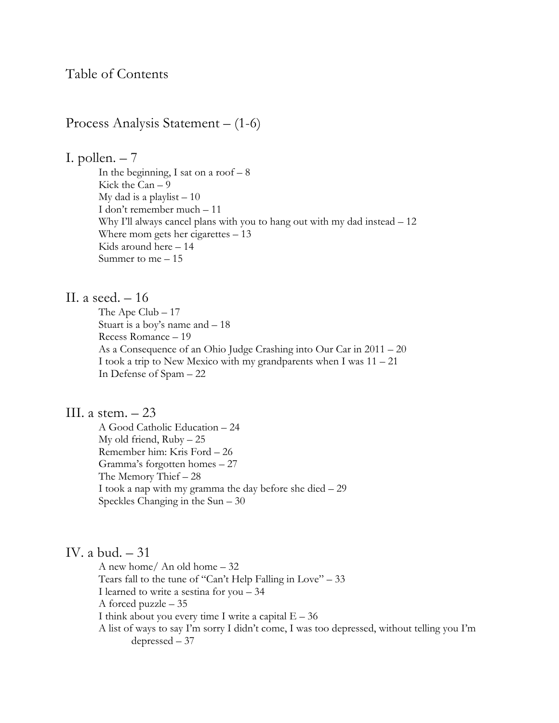Process Analysis Statement – (1-6)

I. pollen.  $-7$ 

In the beginning, I sat on a roof  $-8$ Kick the Can – 9 My dad is a playlist  $-10$ I don't remember much – 11 Why I'll always cancel plans with you to hang out with my dad instead – 12 Where mom gets her cigarettes – 13 Kids around here – 14 Summer to me – 15

# II. a seed. – 16

The Ape Club – 17 Stuart is a boy's name and – 18 Recess Romance – 19 As a Consequence of an Ohio Judge Crashing into Our Car in 2011 – 20 I took a trip to New Mexico with my grandparents when I was  $11 - 21$ In Defense of Spam – 22

# III. a stem.  $-23$

A Good Catholic Education – 24 My old friend,  $Ruby - 25$ Remember him: Kris Ford – 26 Gramma's forgotten homes – 27 The Memory Thief – 28 I took a nap with my gramma the day before she died – 29 Speckles Changing in the Sun – 30

# IV. a bud. – 31

A new home/ An old home – 32 Tears fall to the tune of "Can't Help Falling in Love" – 33 I learned to write a sestina for you – 34 A forced puzzle – 35 I think about you every time I write a capital  $E - 36$ A list of ways to say I'm sorry I didn't come, I was too depressed, without telling you I'm depressed – 37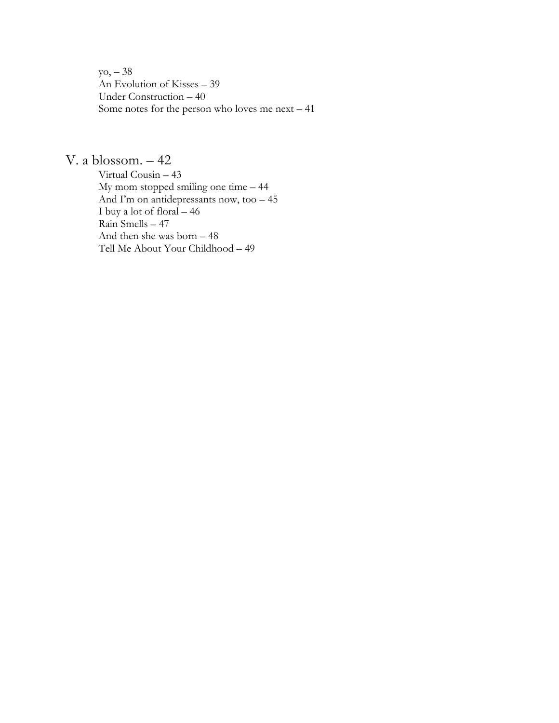yo, – 38 An Evolution of Kisses – 39 Under Construction – 40 Some notes for the person who loves me next – 41

# V. a blossom. – 42

Virtual Cousin – 43 My mom stopped smiling one time – 44 And I'm on antidepressants now, too – 45 I buy a lot of floral – 46 Rain Smells – 47 And then she was born – 48 Tell Me About Your Childhood – 49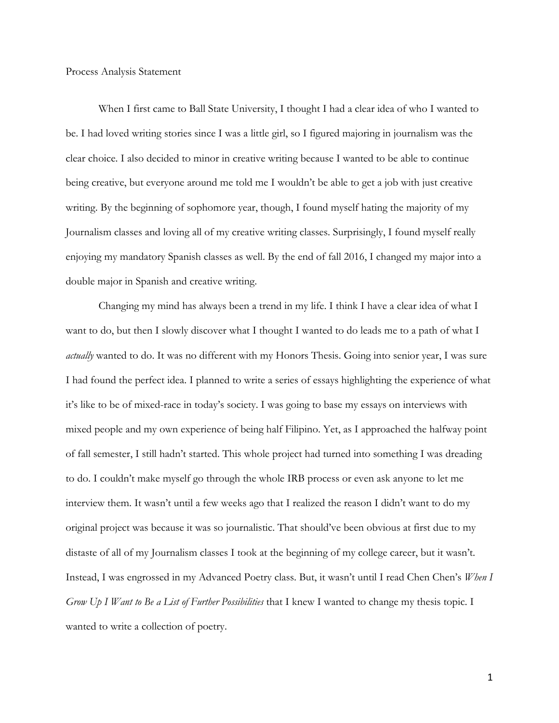Process Analysis Statement

When I first came to Ball State University, I thought I had a clear idea of who I wanted to be. I had loved writing stories since I was a little girl, so I figured majoring in journalism was the clear choice. I also decided to minor in creative writing because I wanted to be able to continue being creative, but everyone around me told me I wouldn't be able to get a job with just creative writing. By the beginning of sophomore year, though, I found myself hating the majority of my Journalism classes and loving all of my creative writing classes. Surprisingly, I found myself really enjoying my mandatory Spanish classes as well. By the end of fall 2016, I changed my major into a double major in Spanish and creative writing.

Changing my mind has always been a trend in my life. I think I have a clear idea of what I want to do, but then I slowly discover what I thought I wanted to do leads me to a path of what I *actually* wanted to do. It was no different with my Honors Thesis. Going into senior year, I was sure I had found the perfect idea. I planned to write a series of essays highlighting the experience of what it's like to be of mixed-race in today's society. I was going to base my essays on interviews with mixed people and my own experience of being half Filipino. Yet, as I approached the halfway point of fall semester, I still hadn't started. This whole project had turned into something I was dreading to do. I couldn't make myself go through the whole IRB process or even ask anyone to let me interview them. It wasn't until a few weeks ago that I realized the reason I didn't want to do my original project was because it was so journalistic. That should've been obvious at first due to my distaste of all of my Journalism classes I took at the beginning of my college career, but it wasn't. Instead, I was engrossed in my Advanced Poetry class. But, it wasn't until I read Chen Chen's *When I Grow Up I Want to Be a List of Further Possibilities* that I knew I wanted to change my thesis topic. I wanted to write a collection of poetry.

1!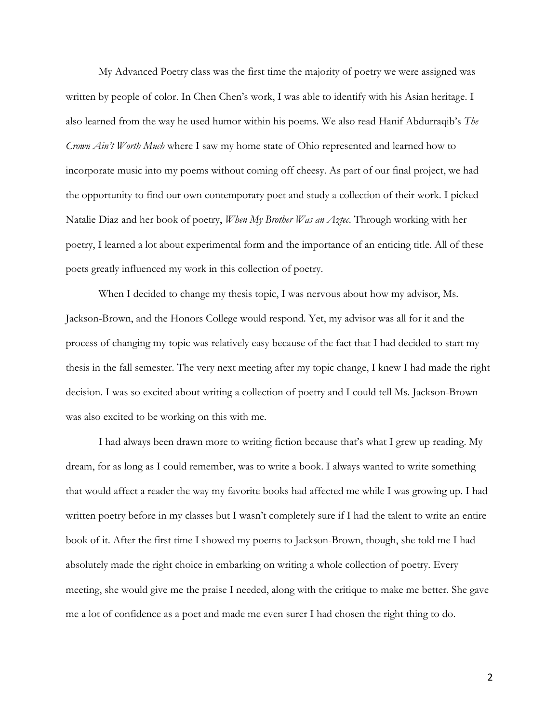My Advanced Poetry class was the first time the majority of poetry we were assigned was written by people of color. In Chen Chen's work, I was able to identify with his Asian heritage. I also learned from the way he used humor within his poems. We also read Hanif Abdurraqib's *The Crown Ain't Worth Much* where I saw my home state of Ohio represented and learned how to incorporate music into my poems without coming off cheesy. As part of our final project, we had the opportunity to find our own contemporary poet and study a collection of their work. I picked Natalie Diaz and her book of poetry, *When My Brother Was an Aztec*. Through working with her poetry, I learned a lot about experimental form and the importance of an enticing title. All of these poets greatly influenced my work in this collection of poetry.

When I decided to change my thesis topic, I was nervous about how my advisor, Ms. Jackson-Brown, and the Honors College would respond. Yet, my advisor was all for it and the process of changing my topic was relatively easy because of the fact that I had decided to start my thesis in the fall semester. The very next meeting after my topic change, I knew I had made the right decision. I was so excited about writing a collection of poetry and I could tell Ms. Jackson-Brown was also excited to be working on this with me.

I had always been drawn more to writing fiction because that's what I grew up reading. My dream, for as long as I could remember, was to write a book. I always wanted to write something that would affect a reader the way my favorite books had affected me while I was growing up. I had written poetry before in my classes but I wasn't completely sure if I had the talent to write an entire book of it. After the first time I showed my poems to Jackson-Brown, though, she told me I had absolutely made the right choice in embarking on writing a whole collection of poetry. Every meeting, she would give me the praise I needed, along with the critique to make me better. She gave me a lot of confidence as a poet and made me even surer I had chosen the right thing to do.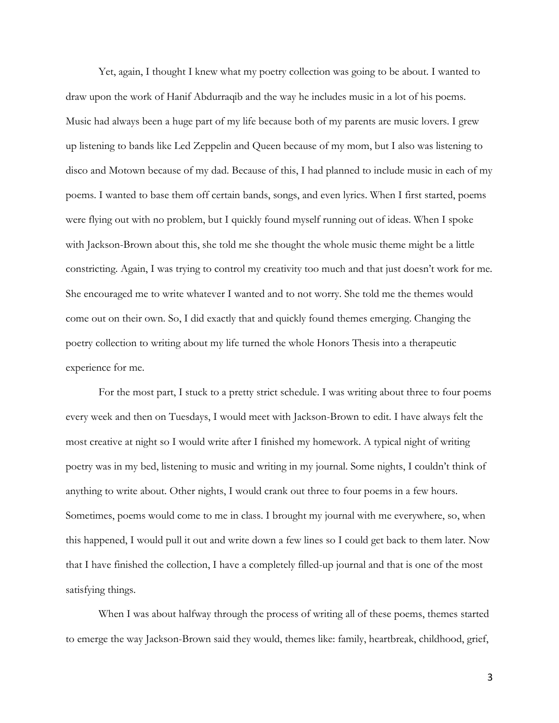Yet, again, I thought I knew what my poetry collection was going to be about. I wanted to draw upon the work of Hanif Abdurraqib and the way he includes music in a lot of his poems. Music had always been a huge part of my life because both of my parents are music lovers. I grew up listening to bands like Led Zeppelin and Queen because of my mom, but I also was listening to disco and Motown because of my dad. Because of this, I had planned to include music in each of my poems. I wanted to base them off certain bands, songs, and even lyrics. When I first started, poems were flying out with no problem, but I quickly found myself running out of ideas. When I spoke with Jackson-Brown about this, she told me she thought the whole music theme might be a little constricting. Again, I was trying to control my creativity too much and that just doesn't work for me. She encouraged me to write whatever I wanted and to not worry. She told me the themes would come out on their own. So, I did exactly that and quickly found themes emerging. Changing the poetry collection to writing about my life turned the whole Honors Thesis into a therapeutic experience for me.

For the most part, I stuck to a pretty strict schedule. I was writing about three to four poems every week and then on Tuesdays, I would meet with Jackson-Brown to edit. I have always felt the most creative at night so I would write after I finished my homework. A typical night of writing poetry was in my bed, listening to music and writing in my journal. Some nights, I couldn't think of anything to write about. Other nights, I would crank out three to four poems in a few hours. Sometimes, poems would come to me in class. I brought my journal with me everywhere, so, when this happened, I would pull it out and write down a few lines so I could get back to them later. Now that I have finished the collection, I have a completely filled-up journal and that is one of the most satisfying things.

When I was about halfway through the process of writing all of these poems, themes started to emerge the way Jackson-Brown said they would, themes like: family, heartbreak, childhood, grief,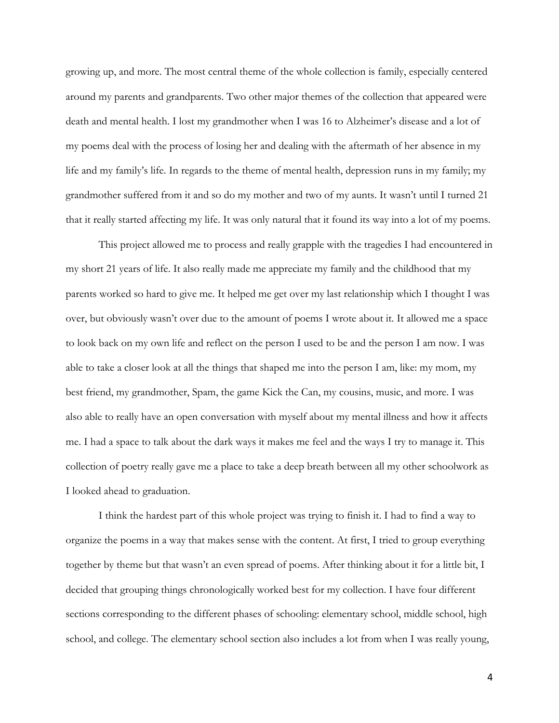growing up, and more. The most central theme of the whole collection is family, especially centered around my parents and grandparents. Two other major themes of the collection that appeared were death and mental health. I lost my grandmother when I was 16 to Alzheimer's disease and a lot of my poems deal with the process of losing her and dealing with the aftermath of her absence in my life and my family's life. In regards to the theme of mental health, depression runs in my family; my grandmother suffered from it and so do my mother and two of my aunts. It wasn't until I turned 21 that it really started affecting my life. It was only natural that it found its way into a lot of my poems.

This project allowed me to process and really grapple with the tragedies I had encountered in my short 21 years of life. It also really made me appreciate my family and the childhood that my parents worked so hard to give me. It helped me get over my last relationship which I thought I was over, but obviously wasn't over due to the amount of poems I wrote about it. It allowed me a space to look back on my own life and reflect on the person I used to be and the person I am now. I was able to take a closer look at all the things that shaped me into the person I am, like: my mom, my best friend, my grandmother, Spam, the game Kick the Can, my cousins, music, and more. I was also able to really have an open conversation with myself about my mental illness and how it affects me. I had a space to talk about the dark ways it makes me feel and the ways I try to manage it. This collection of poetry really gave me a place to take a deep breath between all my other schoolwork as I looked ahead to graduation.

I think the hardest part of this whole project was trying to finish it. I had to find a way to organize the poems in a way that makes sense with the content. At first, I tried to group everything together by theme but that wasn't an even spread of poems. After thinking about it for a little bit, I decided that grouping things chronologically worked best for my collection. I have four different sections corresponding to the different phases of schooling: elementary school, middle school, high school, and college. The elementary school section also includes a lot from when I was really young,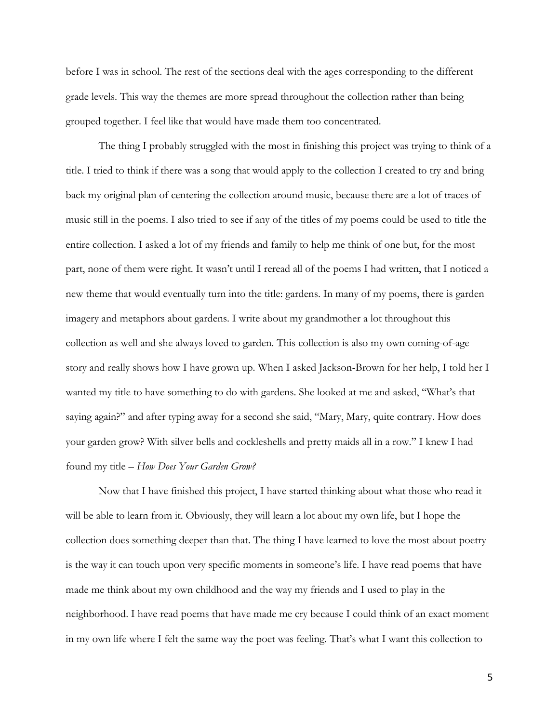before I was in school. The rest of the sections deal with the ages corresponding to the different grade levels. This way the themes are more spread throughout the collection rather than being grouped together. I feel like that would have made them too concentrated.

The thing I probably struggled with the most in finishing this project was trying to think of a title. I tried to think if there was a song that would apply to the collection I created to try and bring back my original plan of centering the collection around music, because there are a lot of traces of music still in the poems. I also tried to see if any of the titles of my poems could be used to title the entire collection. I asked a lot of my friends and family to help me think of one but, for the most part, none of them were right. It wasn't until I reread all of the poems I had written, that I noticed a new theme that would eventually turn into the title: gardens. In many of my poems, there is garden imagery and metaphors about gardens. I write about my grandmother a lot throughout this collection as well and she always loved to garden. This collection is also my own coming-of-age story and really shows how I have grown up. When I asked Jackson-Brown for her help, I told her I wanted my title to have something to do with gardens. She looked at me and asked, "What's that saying again?" and after typing away for a second she said, "Mary, Mary, quite contrary. How does your garden grow? With silver bells and cockleshells and pretty maids all in a row." I knew I had found my title – *How Does Your Garden Grow?* 

Now that I have finished this project, I have started thinking about what those who read it will be able to learn from it. Obviously, they will learn a lot about my own life, but I hope the collection does something deeper than that. The thing I have learned to love the most about poetry is the way it can touch upon very specific moments in someone's life. I have read poems that have made me think about my own childhood and the way my friends and I used to play in the neighborhood. I have read poems that have made me cry because I could think of an exact moment in my own life where I felt the same way the poet was feeling. That's what I want this collection to

5!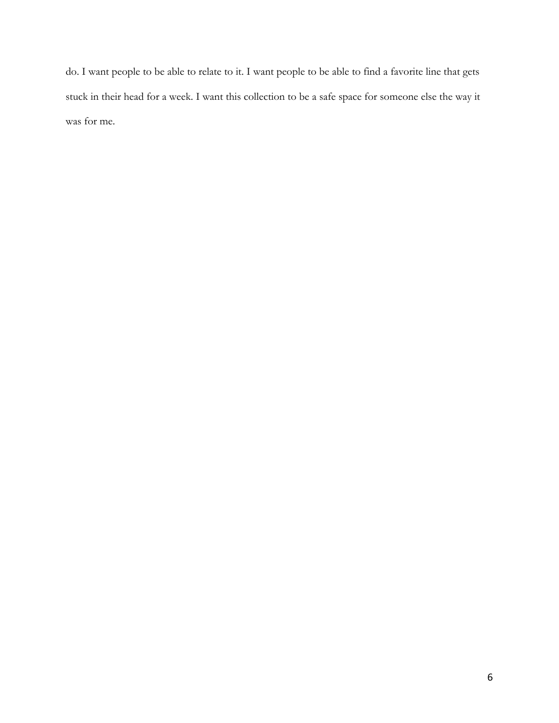do. I want people to be able to relate to it. I want people to be able to find a favorite line that gets stuck in their head for a week. I want this collection to be a safe space for someone else the way it was for me.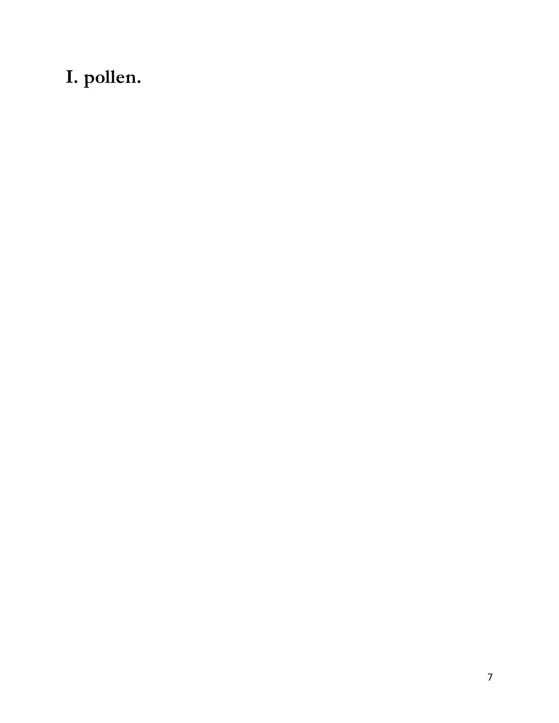# **I. pollen.**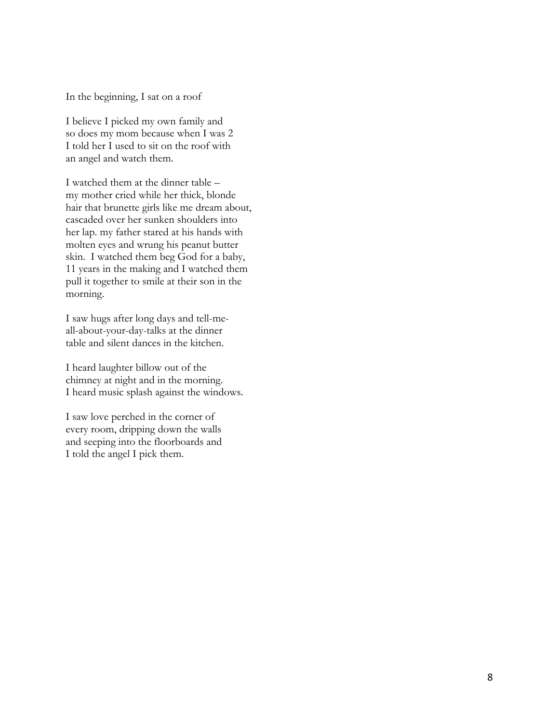In the beginning, I sat on a roof

I believe I picked my own family and so does my mom because when I was 2 I told her I used to sit on the roof with an angel and watch them.

I watched them at the dinner table – my mother cried while her thick, blonde hair that brunette girls like me dream about, cascaded over her sunken shoulders into her lap. my father stared at his hands with molten eyes and wrung his peanut butter skin. I watched them beg God for a baby, 11 years in the making and I watched them pull it together to smile at their son in the morning.

I saw hugs after long days and tell-meall-about-your-day-talks at the dinner table and silent dances in the kitchen.

I heard laughter billow out of the chimney at night and in the morning. I heard music splash against the windows.

I saw love perched in the corner of every room, dripping down the walls and seeping into the floorboards and I told the angel I pick them.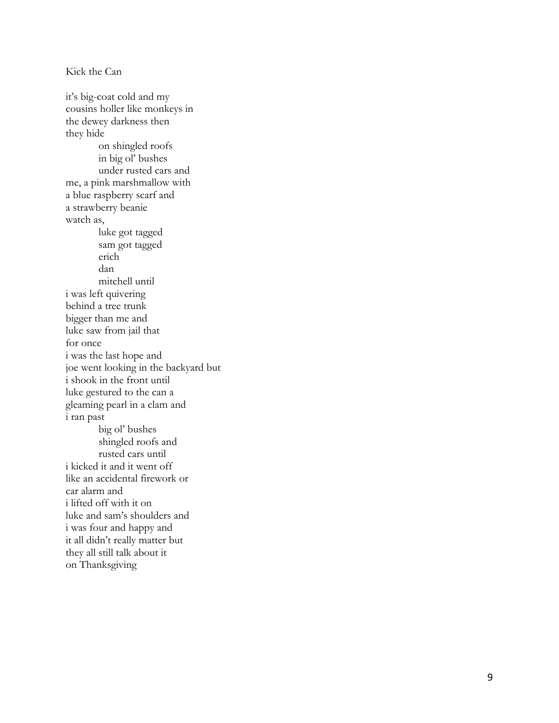it's big -coat cold and my cousins holler like monkeys in the dewey darkness then they hide on shingled roofs in big ol' bushes under rusted cars and me, a pink marshmallow with a blue raspberry scarf and a strawberry beanie watch as, luke got tagged sam got tagged erich dan mitchell until i was left quivering behind a tree trunk bigger than me and luke saw from jail that for once i was the last hope and joe went looking in the backyard but i shook in the front until luke gestured to the can a gleaming pearl in a clam and i ran past big ol' bushes shingled roofs and rusted cars until i kicked it and it went off like an accidental firework or car alarm and i lifted off with it on luke and sam's shoulders and i was four and happy and it all didn't really matter but they all still talk about it on Thanksgiving

Kick the Can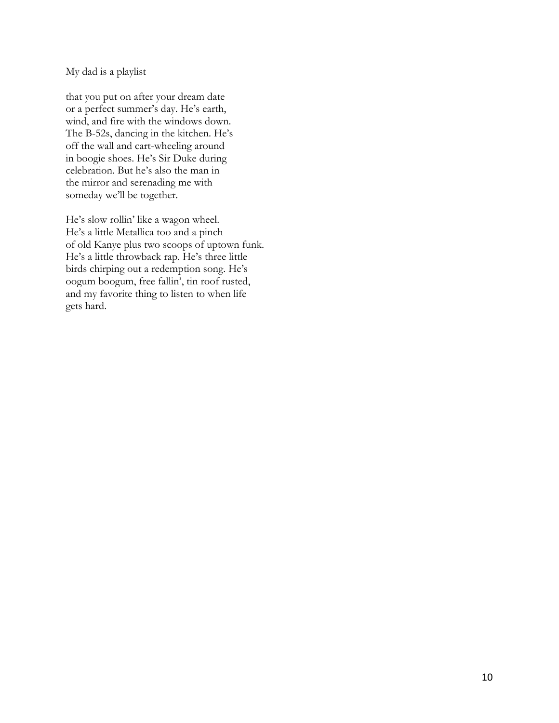My dad is a playlist

that you put on after your dream date or a perfect summer's day. He's earth, wind, and fire with the windows down. The B-52s, dancing in the kitchen. He's off the wall and cart-wheeling around in boogie shoes. He's Sir Duke during celebration. But he's also the man in the mirror and serenading me with someday we'll be together.

He's slow rollin' like a wagon wheel. He's a little Metallica too and a pinch of old Kanye plus two scoops of uptown funk. He's a little throwback rap. He's three little birds chirping out a redemption song. He's oogum boogum, free fallin', tin roof rusted, and my favorite thing to listen to when life gets hard.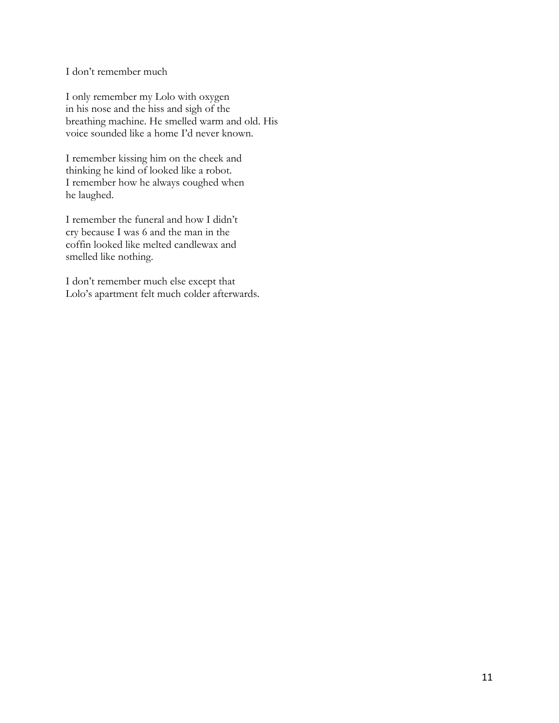I don't remember much

I only remember my Lolo with oxygen in his nose and the hiss and sigh of the breathing machine. He smelled warm and old. His voice sounded like a home I'd never known.

I remember kissing him on the cheek and thinking he kind of looked like a robot. I remember how he always coughed when he laughed.

I remember the funeral and how I didn't cry because I was 6 and the man in the coffin looked like melted candlewax and smelled like nothing.

I don't remember much else except that Lolo's apartment felt much colder afterwards.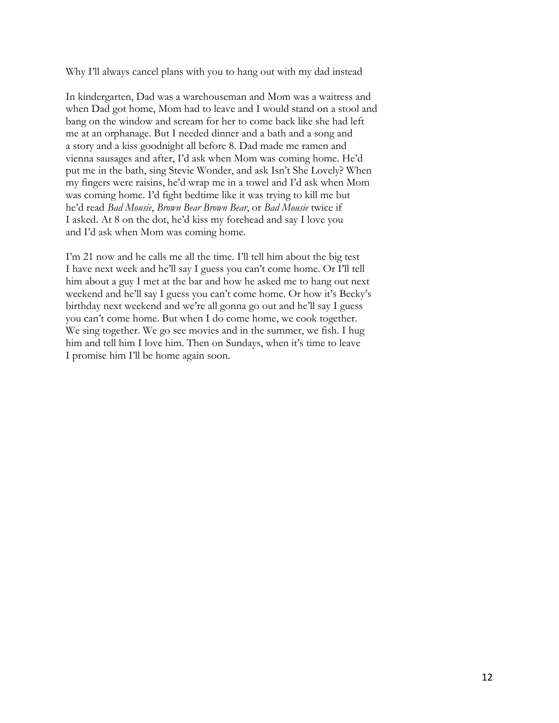Why I'll always cancel plans with you to hang out with my dad instead

In kindergarten, Dad was a warehouseman and Mom was a waitress and when Dad got home, Mom had to leave and I would stand on a stool and bang on the window and scream for her to come back like she had left me at an orphanage. But I needed dinner and a bath and a song and a story and a kiss goodnight all before 8. Dad made me ramen and vienna sausages and after, I'd ask when Mom was coming home. He'd put me in the bath, sing Stevie Wonder, and ask Isn't She Lovely? When my fingers were raisins, he'd wrap me in a towel and I'd ask when Mom was coming home. I'd fight bedtime like it was trying to kill me but he'd read *Bad Mousie*, *Brown Bear Brown Bear*, or *Bad Mousie* twice if I asked. At 8 on the dot, he'd kiss my forehead and say I love you and I'd ask when Mom was coming home.

I'm 21 now and he calls me all the time. I'll tell him about the big test I have next week and he'll say I guess you can't come home. Or I'll tell him about a guy I met at the bar and how he asked me to hang out next weekend and he'll say I guess you can't come home. Or how it's Becky's birthday next weekend and we're all gonna go out and he'll say I guess you can't come home. But when I do come home, we cook together. We sing together. We go see movies and in the summer, we fish. I hug him and tell him I love him. Then on Sundays, when it's time to leave I promise him I'll be home again soon.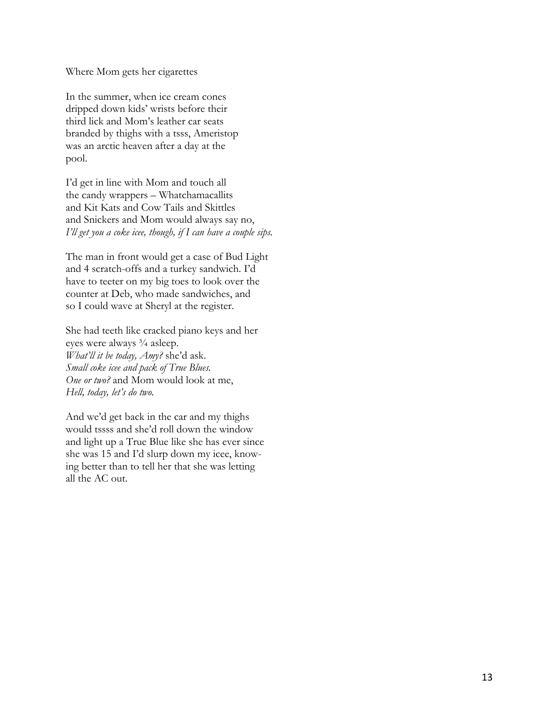Where Mom gets her cigarettes

In the summer, when ice cream cones dripped down kids' wrists before their third lick and Mom's leather car seats branded by thighs with a tsss, Ameristop was an arctic heaven after a day at the pool.

I'd get in line with Mom and touch all the candy wrappers – Whatchamacallits and Kit Kats and Cow Tails and Skittles and Snickers and Mom would always say no, *I'll get you a coke icee, though, if I can have a couple sips.* 

The man in front would get a case of Bud Light and 4 scratch-offs and a turkey sandwich. I'd have to teeter on my big toes to look over the counter at Deb, who made sandwiches, and so I could wave at Sheryl at the register.

She had teeth like cracked piano keys and her eyes were always ¾ asleep. *What'll it be today, Amy?* she'd ask. *Small coke icee and pack of True Blues. One or two?* and Mom would look at me, *Hell, today, let's do two.*

And we'd get back in the car and my thighs would tssss and she'd roll down the window and light up a True Blue like she has ever since she was 15 and I'd slurp down my icee, knowing better than to tell her that she was letting all the AC out.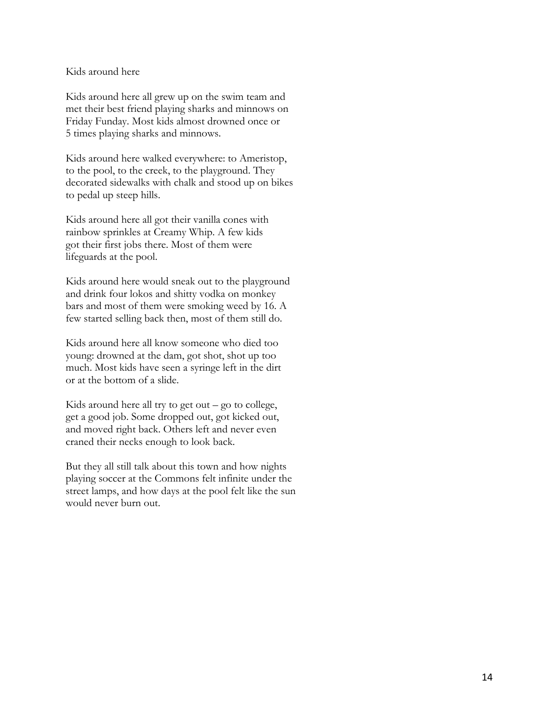## Kids around here

Kids around here all grew up on the swim team and met their best friend playing sharks and minnows on Friday Funday. Most kids almost drowned once or 5 times playing sharks and minnows.

Kids around here walked everywhere: to Ameristop, to the pool, to the creek, to the playground. They decorated sidewalks with chalk and stood up on bikes to pedal up steep hills.

Kids around here all got their vanilla cones with rainbow sprinkles at Creamy Whip. A few kids got their first jobs there. Most of them were lifeguards at the pool.

Kids around here would sneak out to the playground and drink four lokos and shitty vodka on monkey bars and most of them were smoking weed by 16. A few started selling back then, most of them still do.

Kids around here all know someone who died too young: drowned at the dam, got shot, shot up too much. Most kids have seen a syringe left in the dirt or at the bottom of a slide.

Kids around here all try to get out  $-$  go to college, get a good job. Some dropped out, got kicked out, and moved right back. Others left and never even craned their necks enough to look back.

But they all still talk about this town and how nights playing soccer at the Commons felt infinite under the street lamps, and how days at the pool felt like the sun would never burn out.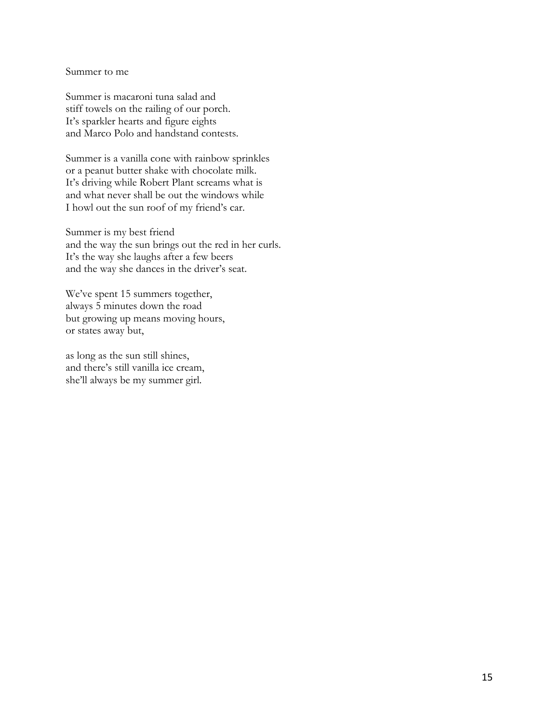Summer to me

Summer is macaroni tuna salad and stiff towels on the railing of our porch. It's sparkler hearts and figure eights and Marco Polo and handstand contests.

Summer is a vanilla cone with rainbow sprinkles or a peanut butter shake with chocolate milk. It's driving while Robert Plant screams what is and what never shall be out the windows while I howl out the sun roof of my friend's car.

Summer is my best friend and the way the sun brings out the red in her curls. It's the way she laughs after a few beers and the way she dances in the driver's seat.

We've spent 15 summers together, always 5 minutes down the road but growing up means moving hours, or states away but,

as long as the sun still shines, and there's still vanilla ice cream, she'll always be my summer girl.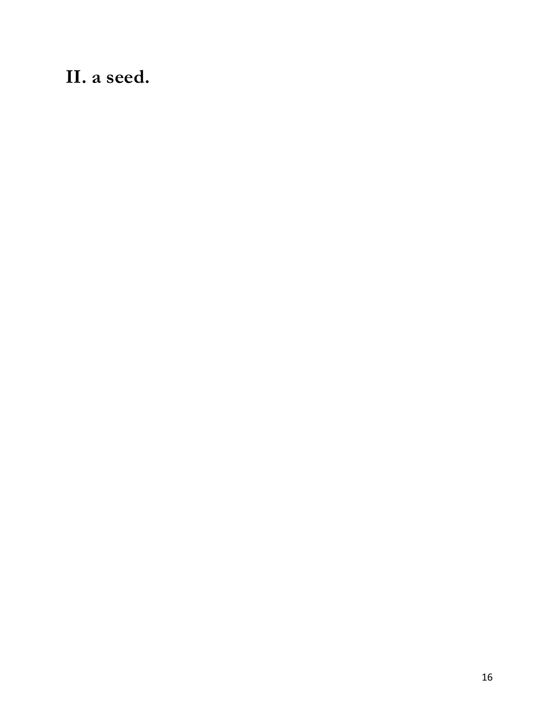**II. a seed.**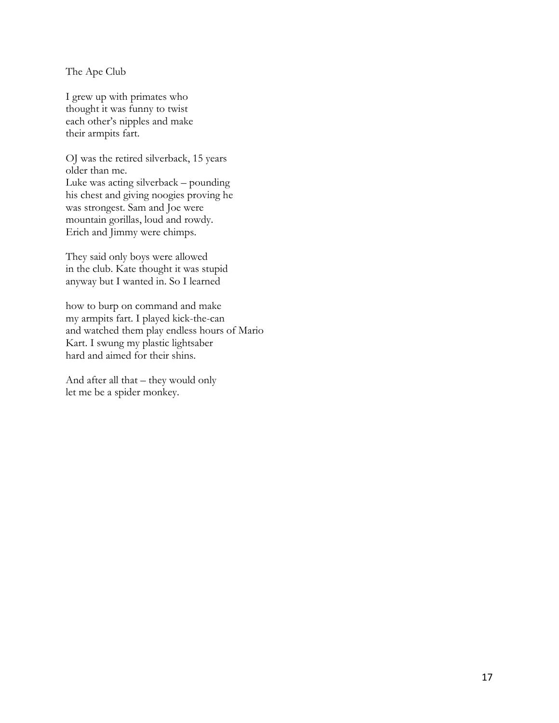The Ape Club

I grew up with primates who thought it was funny to twist each other's nipples and make their armpits fart.

OJ was the retired silverback, 15 years older than me. Luke was acting silverback – pounding his chest and giving noogies proving he was strongest. Sam and Joe were mountain gorillas, loud and rowdy. Erich and Jimmy were chimps.

They said only boys were allowed in the club. Kate thought it was stupid anyway but I wanted in. So I learned

how to burp on command and make my armpits fart. I played kick-the-can and watched them play endless hours of Mario Kart. I swung my plastic lightsaber hard and aimed for their shins.

And after all that – they would only let me be a spider monkey.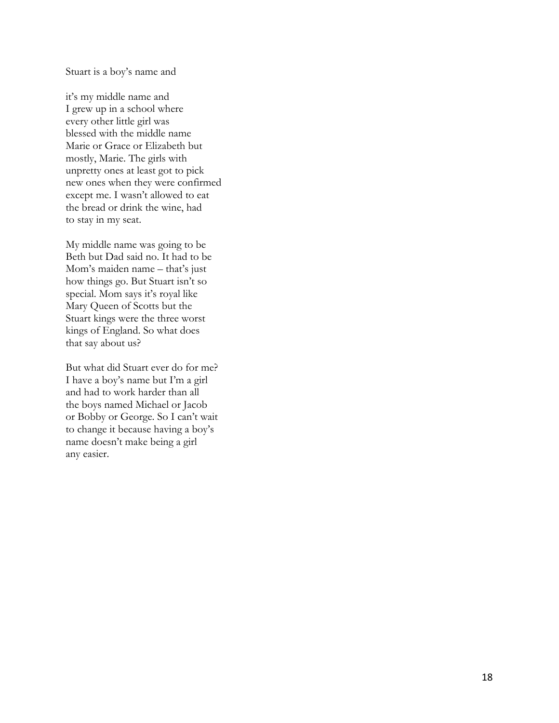#### Stuart is a boy's name and

it's my middle name and I grew up in a school where every other little girl was blessed with the middle name Marie or Grace or Elizabeth but mostly, Marie. The girls with unpretty ones at least got to pick new ones when they were confirmed except me. I wasn't allowed to eat the bread or drink the wine, had to stay in my seat.

My middle name was going to be Beth but Dad said no. It had to be Mom's maiden name – that's just how things go. But Stuart isn't so special. Mom says it's royal like Mary Queen of Scotts but the Stuart kings were the three worst kings of England. So what does that say about us?

But what did Stuart ever do for me? I have a boy's name but I'm a girl and had to work harder than all the boys named Michael or Jacob or Bobby or George. So I can't wait to change it because having a boy's name doesn't make being a girl any easier.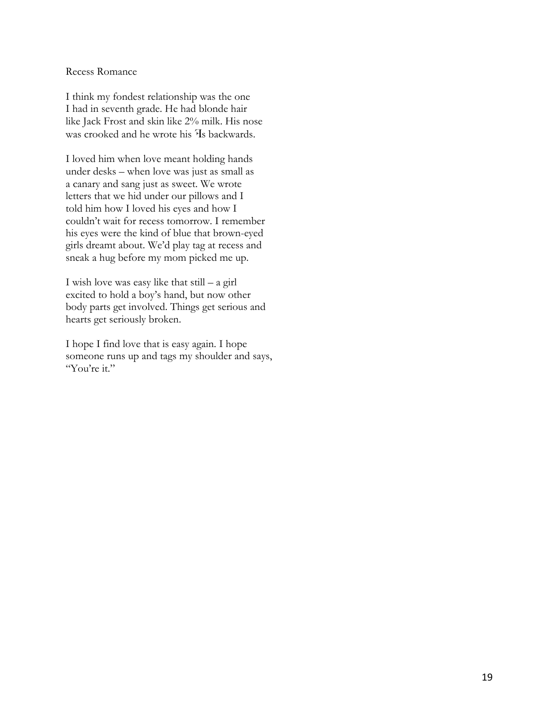## Recess Romance

I think my fondest relationship was the one I had in seventh grade. He had blonde hair like Jack Frost and skin like 2% milk. His nose was crooked and he wrote his <sup>H</sup>s backwards.

I loved him when love meant holding hands under desks – when love was just as small as a canary and sang just as sweet. We wrote letters that we hid under our pillows and I told him how I loved his eyes and how I couldn't wait for recess tomorrow. I remember his eyes were the kind of blue that brown-eyed girls dreamt about. We'd play tag at recess and sneak a hug before my mom picked me up.

I wish love was easy like that still – a girl excited to hold a boy's hand, but now other body parts get involved. Things get serious and hearts get seriously broken.

I hope I find love that is easy again. I hope someone runs up and tags my shoulder and says, "You're it."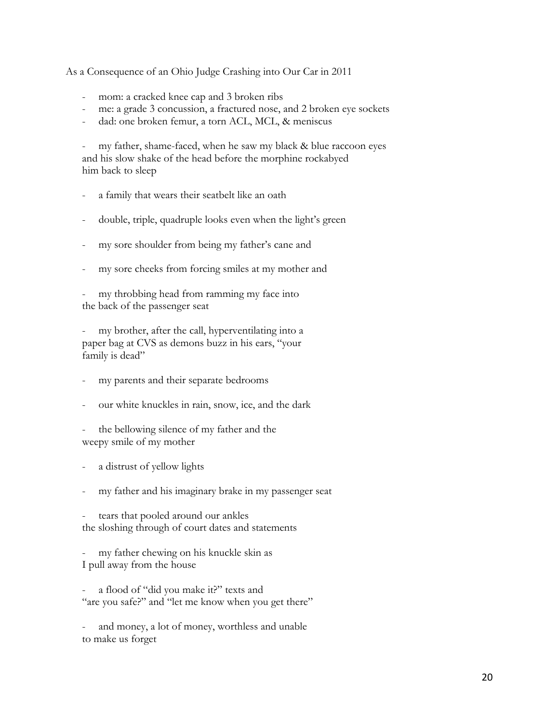As a Consequence of an Ohio Judge Crashing into Our Car in 2011

- mom: a cracked knee cap and 3 broken ribs
- me: a grade 3 concussion, a fractured nose, and 2 broken eye sockets
- dad: one broken femur, a torn ACL, MCL, & meniscus

- my father, shame-faced, when he saw my black & blue raccoon eyes and his slow shake of the head before the morphine rockabyed him back to sleep

- a family that wears their seatbelt like an oath
- double, triple, quadruple looks even when the light's green
- my sore shoulder from being my father's cane and
- my sore cheeks from forcing smiles at my mother and

my throbbing head from ramming my face into the back of the passenger seat

my brother, after the call, hyperventilating into a paper bag at CVS as demons buzz in his ears, "your family is dead"

- my parents and their separate bedrooms
- our white knuckles in rain, snow, ice, and the dark
- the bellowing silence of my father and the weepy smile of my mother
- a distrust of yellow lights
- my father and his imaginary brake in my passenger seat

tears that pooled around our ankles the sloshing through of court dates and statements

my father chewing on his knuckle skin as I pull away from the house

a flood of "did you make it?" texts and "are you safe?" and "let me know when you get there"

and money, a lot of money, worthless and unable to make us forget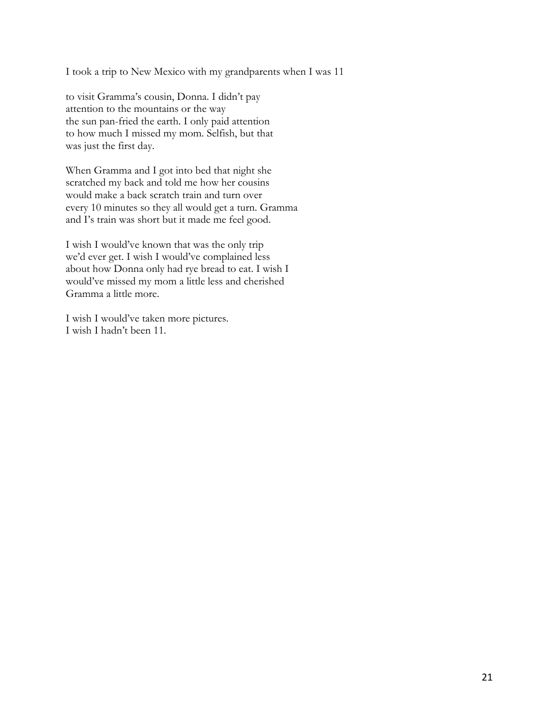I took a trip to New Mexico with my grandparents when I was 11

to visit Gramma's cousin, Donna. I didn't pay attention to the mountains or the way the sun pan-fried the earth. I only paid attention to how much I missed my mom. Selfish, but that was just the first day.

When Gramma and I got into bed that night she scratched my back and told me how her cousins would make a back scratch train and turn over every 10 minutes so they all would get a turn. Gramma and I's train was short but it made me feel good.

I wish I would've known that was the only trip we'd ever get. I wish I would've complained less about how Donna only had rye bread to eat. I wish I would've missed my mom a little less and cherished Gramma a little more.

I wish I would've taken more pictures. I wish I hadn't been 11.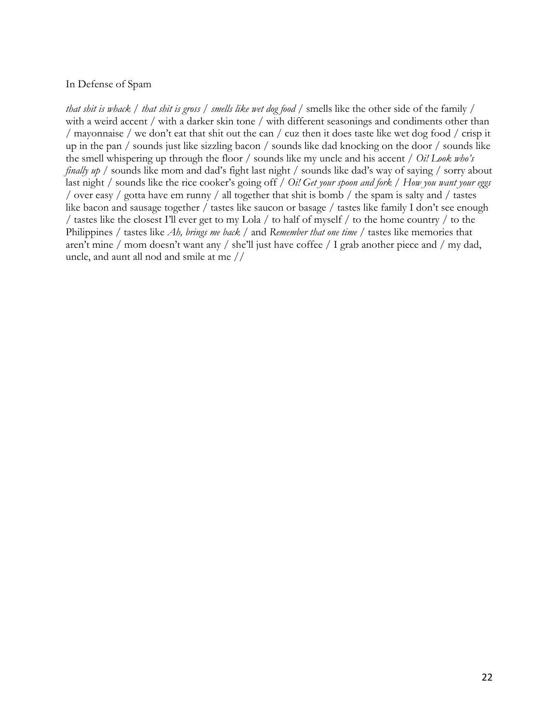# In Defense of Spam

*that shit is whack* / *that shit is gross* / *smells like wet dog food* / smells like the other side of the family / with a weird accent / with a darker skin tone / with different seasonings and condiments other than / mayonnaise / we don't eat that shit out the can / cuz then it does taste like wet dog food / crisp it up in the pan / sounds just like sizzling bacon / sounds like dad knocking on the door / sounds like the smell whispering up through the floor / sounds like my uncle and his accent / *Oi! Look who's finally up* / sounds like mom and dad's fight last night / sounds like dad's way of saying / sorry about last night / sounds like the rice cooker's going off / *Oi! Get your spoon and fork / How you want your eggs* / over easy / gotta have em runny / all together that shit is bomb / the spam is salty and / tastes like bacon and sausage together / tastes like saucon or basage / tastes like family I don't see enough / tastes like the closest I'll ever get to my Lola / to half of myself / to the home country / to the Philippines / tastes like *Ah, brings me back* / and *Remember that one time* / tastes like memories that aren't mine / mom doesn't want any / she'll just have coffee / I grab another piece and / my dad, uncle, and aunt all nod and smile at me //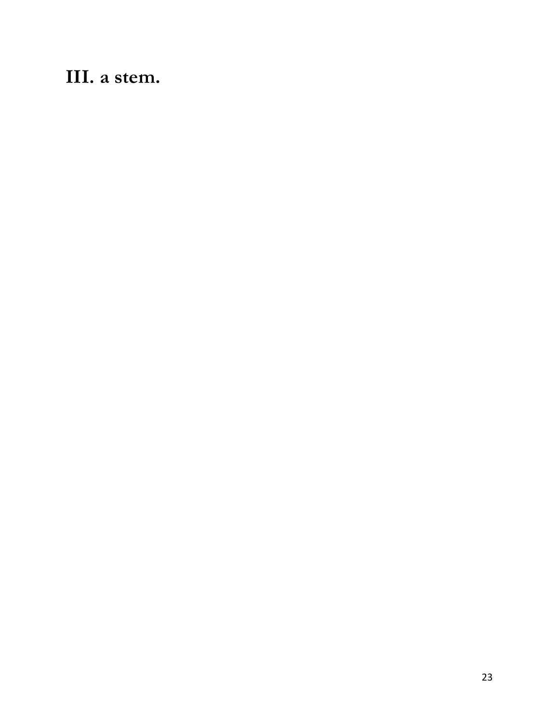# **III. a stem.**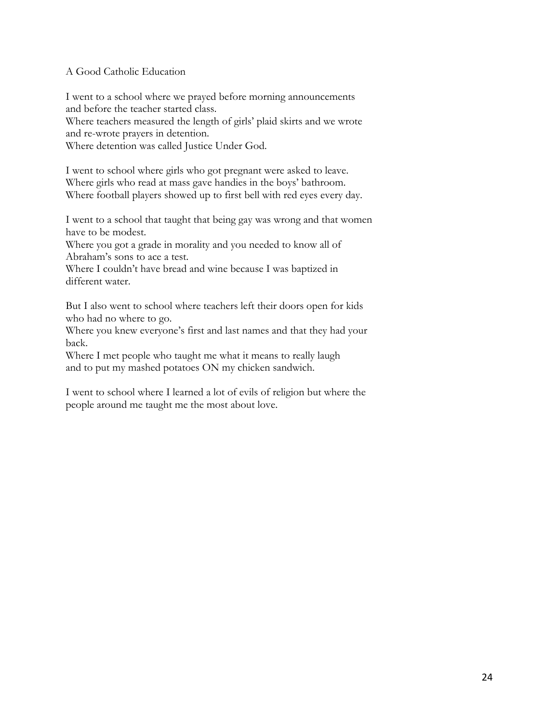# A Good Catholic Education

I went to a school where we prayed before morning announcements and before the teacher started class.

Where teachers measured the length of girls' plaid skirts and we wrote and re-wrote prayers in detention.

Where detention was called Justice Under God.

I went to school where girls who got pregnant were asked to leave. Where girls who read at mass gave handies in the boys' bathroom. Where football players showed up to first bell with red eyes every day.

I went to a school that taught that being gay was wrong and that women have to be modest.

Where you got a grade in morality and you needed to know all of Abraham's sons to ace a test.

Where I couldn't have bread and wine because I was baptized in different water.

But I also went to school where teachers left their doors open for kids who had no where to go.

Where you knew everyone's first and last names and that they had your back.

Where I met people who taught me what it means to really laugh and to put my mashed potatoes ON my chicken sandwich.

I went to school where I learned a lot of evils of religion but where the people around me taught me the most about love.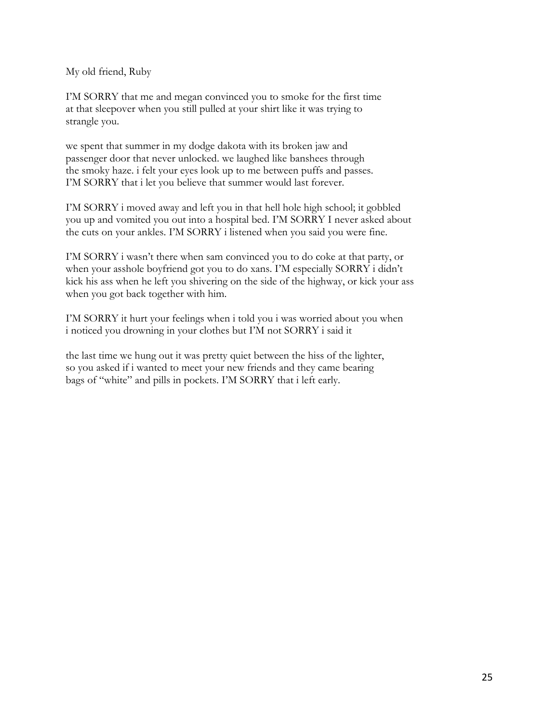My old friend, Ruby

I'M SORRY that me and megan convinced you to smoke for the first time at that sleepover when you still pulled at your shirt like it was trying to strangle you.

we spent that summer in my dodge dakota with its broken jaw and passenger door that never unlocked. we laughed like banshees through the smoky haze. i felt your eyes look up to me between puffs and passes. I'M SORRY that i let you believe that summer would last forever.

I'M SORRY i moved away and left you in that hell hole high school; it gobbled you up and vomited you out into a hospital bed. I'M SORRY I never asked about the cuts on your ankles. I'M SORRY i listened when you said you were fine.

I'M SORRY i wasn't there when sam convinced you to do coke at that party, or when your asshole boyfriend got you to do xans. I'M especially SORRY i didn't kick his ass when he left you shivering on the side of the highway, or kick your ass when you got back together with him.

I'M SORRY it hurt your feelings when i told you i was worried about you when i noticed you drowning in your clothes but I'M not SORRY i said it

the last time we hung out it was pretty quiet between the hiss of the lighter, so you asked if i wanted to meet your new friends and they came bearing bags of "white" and pills in pockets. I'M SORRY that i left early.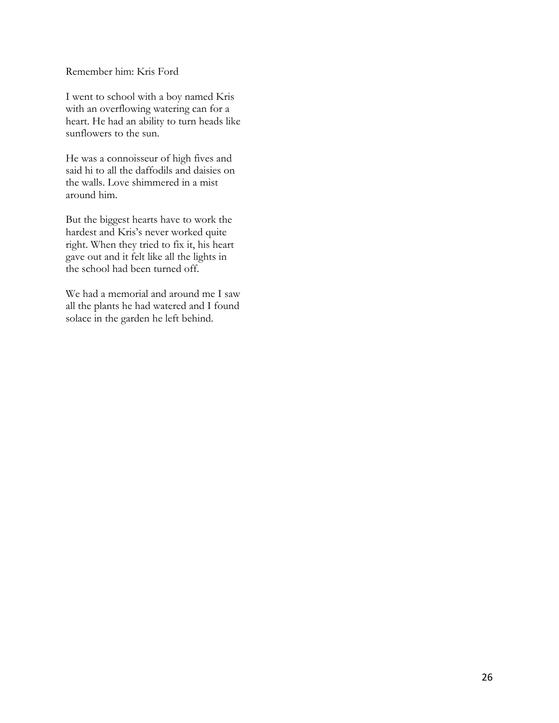Remember him: Kris Ford

I went to school with a boy named Kris with an overflowing watering can for a heart. He had an ability to turn heads like sunflowers to the sun.

He was a connoisseur of high fives and said hi to all the daffodils and daisies on the walls. Love shimmered in a mist around him.

But the biggest hearts have to work the hardest and Kris's never worked quite right. When they tried to fix it, his heart gave out and it felt like all the lights in the school had been turned off.

We had a memorial and around me I saw all the plants he had watered and I found solace in the garden he left behind.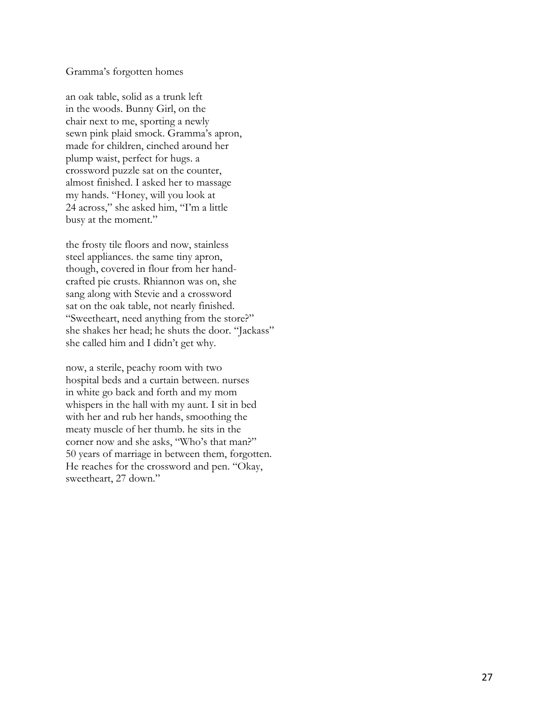#### Gramma's forgotten homes

an oak table, solid as a trunk left in the woods. Bunny Girl, on the chair next to me, sporting a newly sewn pink plaid smock. Gramma's apron, made for children, cinched around her plump waist, perfect for hugs. a crossword puzzle sat on the counter, almost finished. I asked her to massage my hands. "Honey, will you look at 24 across," she asked him, "I'm a little busy at the moment."

the frosty tile floors and now, stainless steel appliances. the same tiny apron, though, covered in flour from her handcrafted pie crusts. Rhiannon was on, she sang along with Stevie and a crossword sat on the oak table, not nearly finished. "Sweetheart, need anything from the store?" she shakes her head; he shuts the door. "Jackass" she called him and I didn't get why.

now, a sterile, peachy room with two hospital beds and a curtain between. nurses in white go back and forth and my mom whispers in the hall with my aunt. I sit in bed with her and rub her hands, smoothing the meaty muscle of her thumb. he sits in the corner now and she asks, "Who's that man?" 50 years of marriage in between them, forgotten. He reaches for the crossword and pen. "Okay, sweetheart, 27 down."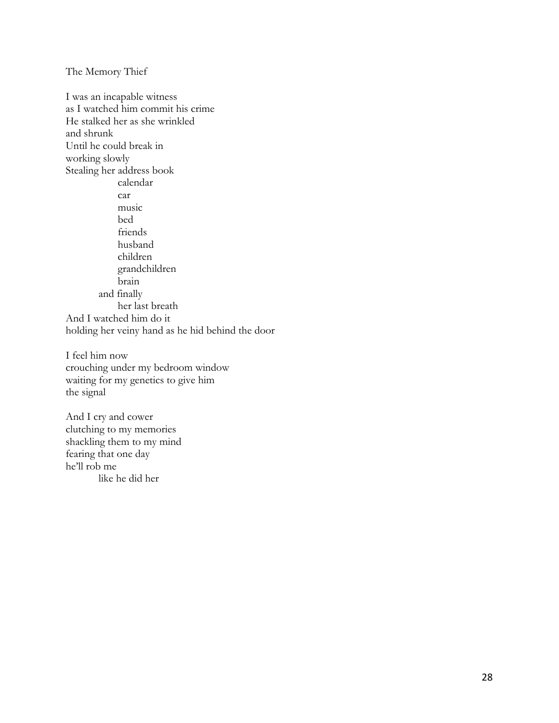The Memory Thief

I was an incapable witness as I watched him commit his crime He stalked her as she wrinkled and shrunk Until he could break in working slowly Stealing her address book calendar car music bed friends husband children grandchildren brain and finally her last breath And I watched him do it holding her veiny hand as he hid behind the door

I feel him now crouching under my bedroom window waiting for my genetics to give him the signal

And I cry and cower clutching to my memories shackling them to my mind fearing that one day he'll rob me like he did her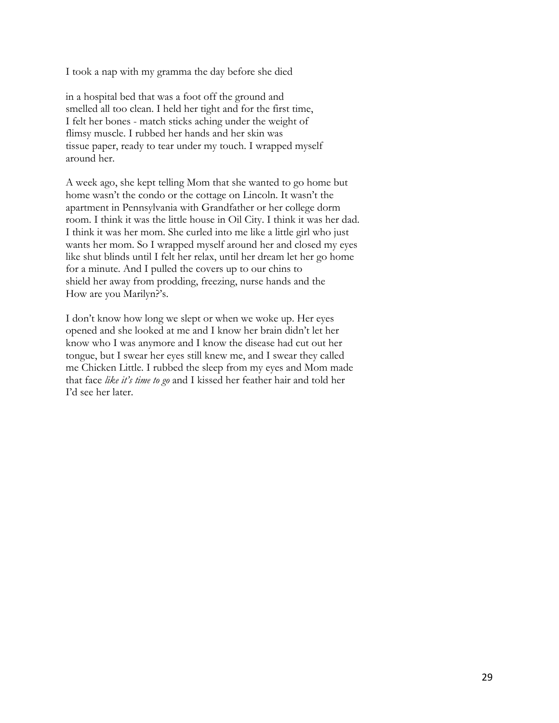I took a nap with my gramma the day before she died

in a hospital bed that was a foot off the ground and smelled all too clean. I held her tight and for the first time, I felt her bones - match sticks aching under the weight of flimsy muscle. I rubbed her hands and her skin was tissue paper, ready to tear under my touch. I wrapped myself around her.

A week ago, she kept telling Mom that she wanted to go home but home wasn't the condo or the cottage on Lincoln. It wasn't the apartment in Pennsylvania with Grandfather or her college dorm room. I think it was the little house in Oil City. I think it was her dad. I think it was her mom. She curled into me like a little girl who just wants her mom. So I wrapped myself around her and closed my eyes like shut blinds until I felt her relax, until her dream let her go home for a minute. And I pulled the covers up to our chins to shield her away from prodding, freezing, nurse hands and the How are you Marilyn?'s.

I don't know how long we slept or when we woke up. Her eyes opened and she looked at me and I know her brain didn't let her know who I was anymore and I know the disease had cut out her tongue, but I swear her eyes still knew me, and I swear they called me Chicken Little. I rubbed the sleep from my eyes and Mom made that face *like it's time to go* and I kissed her feather hair and told her I'd see her later.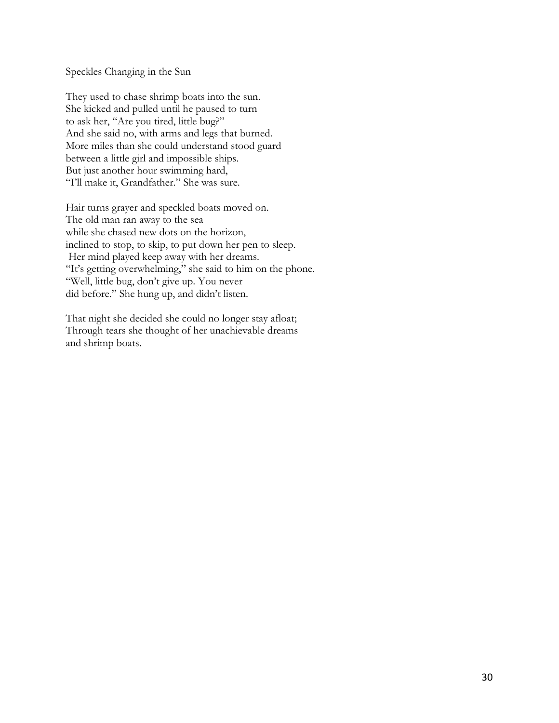Speckles Changing in the Sun

They used to chase shrimp boats into the sun. She kicked and pulled until he paused to turn to ask her, "Are you tired, little bug?" And she said no, with arms and legs that burned. More miles than she could understand stood guard between a little girl and impossible ships. But just another hour swimming hard, "I'll make it, Grandfather." She was sure.

Hair turns grayer and speckled boats moved on. The old man ran away to the sea while she chased new dots on the horizon, inclined to stop, to skip, to put down her pen to sleep. Her mind played keep away with her dreams. "It's getting overwhelming," she said to him on the phone. "Well, little bug, don't give up. You never did before." She hung up, and didn't listen.

That night she decided she could no longer stay afloat; Through tears she thought of her unachievable dreams and shrimp boats.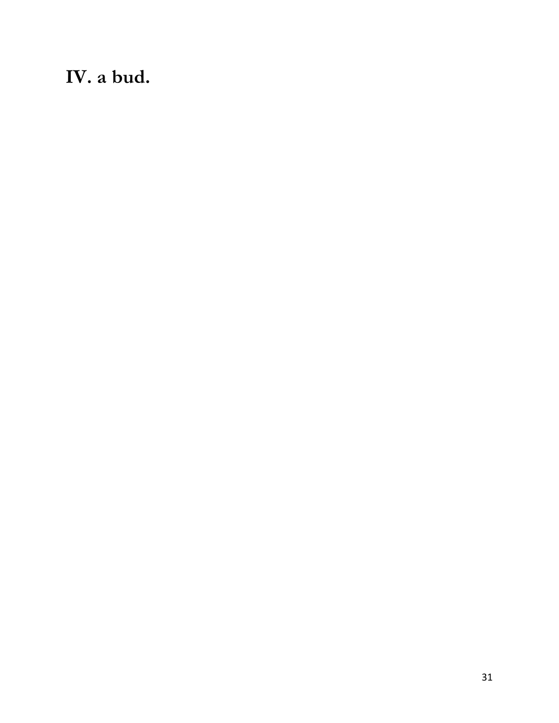**IV. a bud.**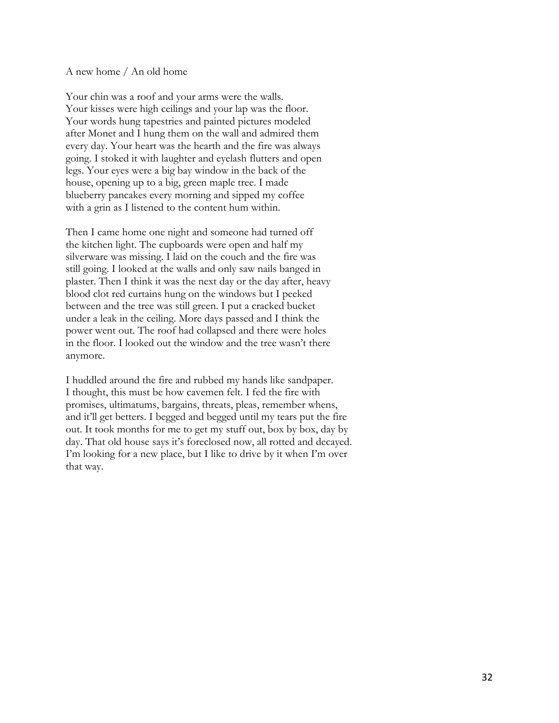#### A new home / An old home

Your chin was a roof and your arms were the walls. Your kisses were high ceilings and your lap was the floor. Your words hung tapestries and painted pictures modeled after Monet and I hung them on the wall and admired them every day. Your heart was the hearth and the fire was always going. I stoked it with laughter and eyelash flutters and open legs. Your eyes were a big bay window in the back of the house, opening up to a big, green maple tree. I made blueberry pancakes every morning and sipped my coffee with a grin as I listened to the content hum within.

Then I came home one night and someone had turned off the kitchen light. The cupboards were open and half my silverware was missing. I laid on the couch and the fire was still going. I looked at the walls and only saw nails banged in plaster. Then I think it was the next day or the day after, heavy blood clot red curtains hung on the windows but I peeked between and the tree was still green. I put a cracked bucket under a leak in the ceiling. More days passed and I think the power went out. The roof had collapsed and there were holes in the floor. I looked out the window and the tree wasn't there anymore.

I huddled around the fire and rubbed my hands like sandpaper. I thought, this must be how cavemen felt. I fed the fire with promises, ultimatums, bargains, threats, pleas, remember whens, and it'll get betters. I begged and begged until my tears put the fire out. It took months for me to get my stuff out, box by box, day by day. That old house says it's foreclosed now, all rotted and decayed. I'm looking for a new place, but I like to drive by it when I'm over that way.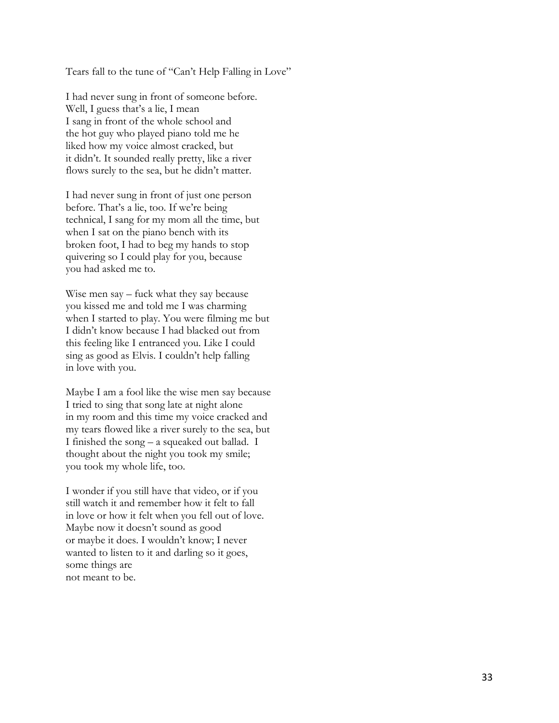Tears fall to the tune of "Can't Help Falling in Love"

I had never sung in front of someone before. Well, I guess that's a lie, I mean I sang in front of the whole school and the hot guy who played piano told me he liked how my voice almost cracked, but it didn't. It sounded really pretty, like a river flows surely to the sea, but he didn't matter.

I had never sung in front of just one person before. That's a lie, too. If we're being technical, I sang for my mom all the time, but when I sat on the piano bench with its broken foot, I had to beg my hands to stop quivering so I could play for you, because you had asked me to.

Wise men say – fuck what they say because you kissed me and told me I was charming when I started to play. You were filming me but I didn't know because I had blacked out from this feeling like I entranced you. Like I could sing as good as Elvis. I couldn't help falling in love with you.

Maybe I am a fool like the wise men say because I tried to sing that song late at night alone in my room and this time my voice cracked and my tears flowed like a river surely to the sea, but I finished the song – a squeaked out ballad. I thought about the night you took my smile; you took my whole life, too.

I wonder if you still have that video, or if you still watch it and remember how it felt to fall in love or how it felt when you fell out of love. Maybe now it doesn't sound as good or maybe it does. I wouldn't know; I never wanted to listen to it and darling so it goes, some things are not meant to be.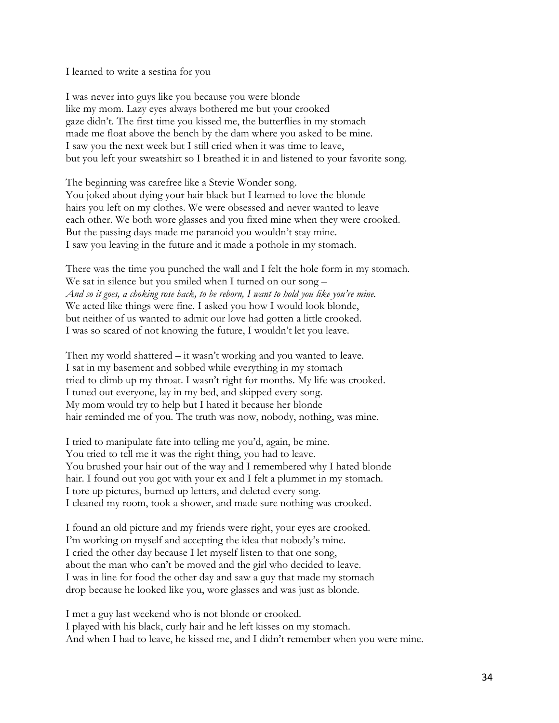I learned to write a sestina for you

I was never into guys like you because you were blonde like my mom. Lazy eyes always bothered me but your crooked gaze didn't. The first time you kissed me, the butterflies in my stomach made me float above the bench by the dam where you asked to be mine. I saw you the next week but I still cried when it was time to leave, but you left your sweatshirt so I breathed it in and listened to your favorite song.

The beginning was carefree like a Stevie Wonder song. You joked about dying your hair black but I learned to love the blonde hairs you left on my clothes. We were obsessed and never wanted to leave each other. We both wore glasses and you fixed mine when they were crooked. But the passing days made me paranoid you wouldn't stay mine. I saw you leaving in the future and it made a pothole in my stomach.

There was the time you punched the wall and I felt the hole form in my stomach. We sat in silence but you smiled when I turned on our song – *And so it goes, a choking rose back, to be reborn, I want to hold you like you're mine.* We acted like things were fine. I asked you how I would look blonde, but neither of us wanted to admit our love had gotten a little crooked. I was so scared of not knowing the future, I wouldn't let you leave.

Then my world shattered – it wasn't working and you wanted to leave. I sat in my basement and sobbed while everything in my stomach tried to climb up my throat. I wasn't right for months. My life was crooked. I tuned out everyone, lay in my bed, and skipped every song. My mom would try to help but I hated it because her blonde hair reminded me of you. The truth was now, nobody, nothing, was mine.

I tried to manipulate fate into telling me you'd, again, be mine. You tried to tell me it was the right thing, you had to leave. You brushed your hair out of the way and I remembered why I hated blonde hair. I found out you got with your ex and I felt a plummet in my stomach. I tore up pictures, burned up letters, and deleted every song. I cleaned my room, took a shower, and made sure nothing was crooked.

I found an old picture and my friends were right, your eyes are crooked. I'm working on myself and accepting the idea that nobody's mine. I cried the other day because I let myself listen to that one song, about the man who can't be moved and the girl who decided to leave. I was in line for food the other day and saw a guy that made my stomach drop because he looked like you, wore glasses and was just as blonde.

I met a guy last weekend who is not blonde or crooked. I played with his black, curly hair and he left kisses on my stomach. And when I had to leave, he kissed me, and I didn't remember when you were mine.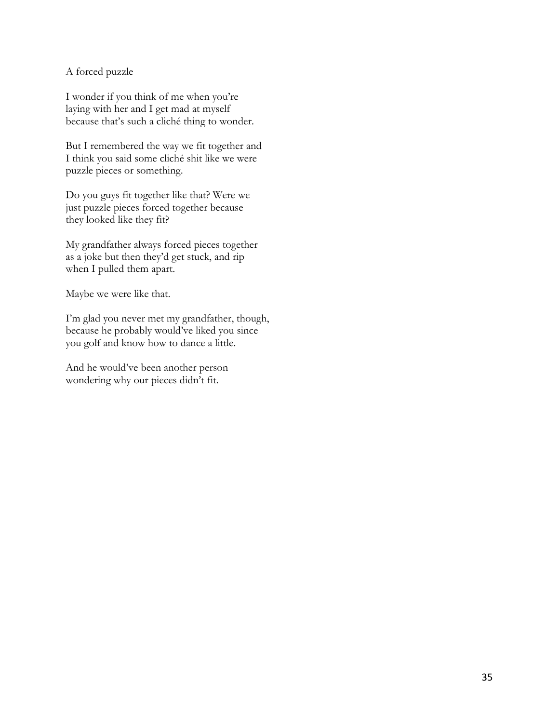A forced puzzle

I wonder if you think of me when you're laying with her and I get mad at myself because that's such a cliché thing to wonder.

But I remembered the way we fit together and I think you said some cliché shit like we were puzzle pieces or something.

Do you guys fit together like that? Were we just puzzle pieces forced together because they looked like they fit?

My grandfather always forced pieces together as a joke but then they'd get stuck, and rip when I pulled them apart.

Maybe we were like that.

I'm glad you never met my grandfather, though, because he probably would've liked you since you golf and know how to dance a little.

And he would've been another person wondering why our pieces didn't fit.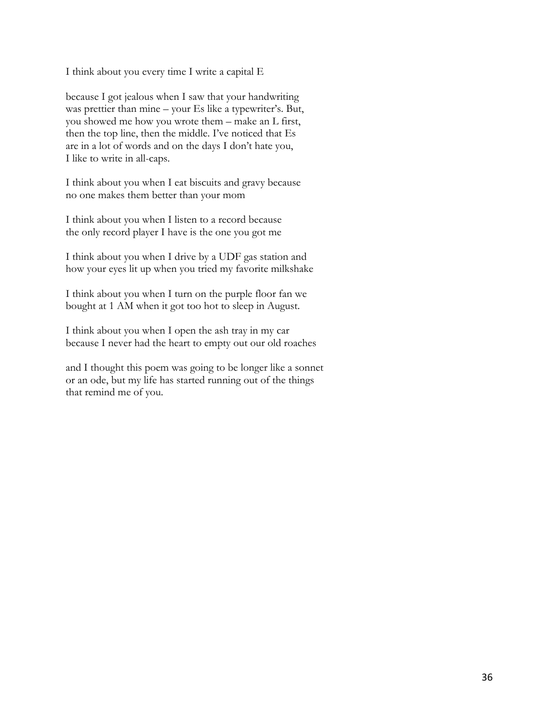I think about you every time I write a capital E

because I got jealous when I saw that your handwriting was prettier than mine – your Es like a typewriter's. But, you showed me how you wrote them – make an L first, then the top line, then the middle. I've noticed that Es are in a lot of words and on the days I don't hate you, I like to write in all-caps.

I think about you when I eat biscuits and gravy because no one makes them better than your mom

I think about you when I listen to a record because the only record player I have is the one you got me

I think about you when I drive by a UDF gas station and how your eyes lit up when you tried my favorite milkshake

I think about you when I turn on the purple floor fan we bought at 1 AM when it got too hot to sleep in August.

I think about you when I open the ash tray in my car because I never had the heart to empty out our old roaches

and I thought this poem was going to be longer like a sonnet or an ode, but my life has started running out of the things that remind me of you.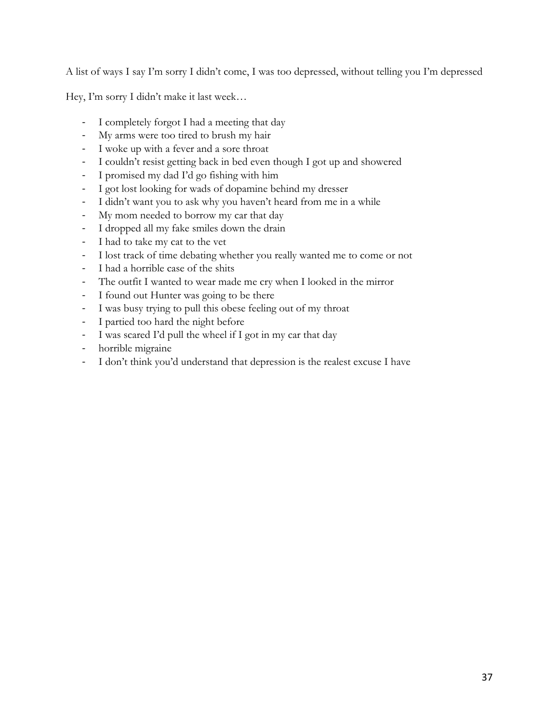A list of ways I say I'm sorry I didn't come, I was too depressed, without telling you I'm depressed

Hey, I'm sorry I didn't make it last week…

- , I completely forgot I had a meeting that day
- , My arms were too tired to brush my hair
- , I woke up with a fever and a sore throat
- I couldn't resist getting back in bed even though I got up and showered
- , I promised my dad I'd go fishing with him
- I got lost looking for wads of dopamine behind my dresser
- I didn't want you to ask why you haven't heard from me in a while
- , My mom needed to borrow my car that day
- , I dropped all my fake smiles down the drain
- , I had to take my cat to the vet
- , I lost track of time debating whether you really wanted me to come or not
- , I had a horrible case of the shits
- , The outfit I wanted to wear made me cry when I looked in the mirror
- , I found out Hunter was going to be there
- , I was busy trying to pull this obese feeling out of my throat
- I partied too hard the night before
- , I was scared I'd pull the wheel if I got in my car that day
- horrible migraine
- , I don't think you'd understand that depression is the realest excuse I have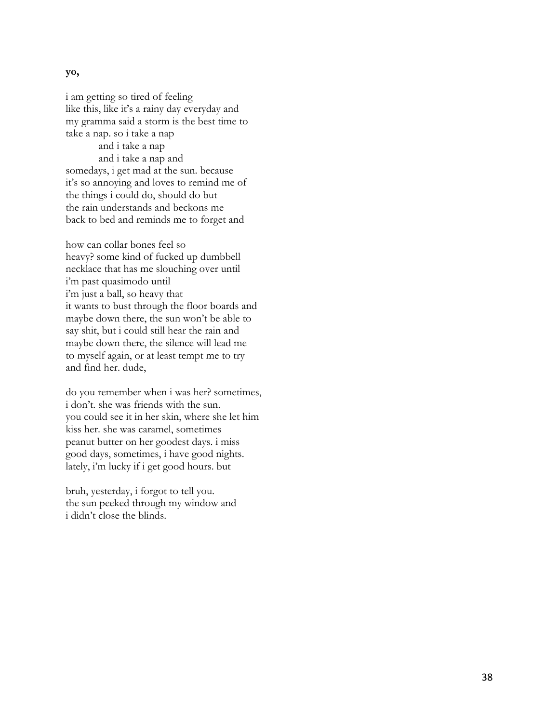## **yo,**

i am getting so tired of feeling like this, like it's a rainy day everyday and my gramma said a storm is the best time to take a nap. so i take a nap and i take a nap and i take a nap and somedays, i get mad at the sun. because it's so annoying and loves to remind me of the things i could do, should do but the rain understands and beckons me back to bed and reminds me to forget and

how can collar bones feel so heavy? some kind of fucked up dumbbell necklace that has me slouching over until i'm past quasimodo until i'm just a ball, so heavy that it wants to bust through the floor boards and maybe down there, the sun won't be able to say shit, but i could still hear the rain and maybe down there, the silence will lead me to myself again, or at least tempt me to try and find her. dude,

do you remember when i was her? sometimes, i don't. she was friends with the sun. you could see it in her skin, where she let him kiss her. she was caramel, sometimes peanut butter on her goodest days. i miss good days, sometimes, i have good nights. lately, i'm lucky if i get good hours. but

bruh, yesterday, i forgot to tell you. the sun peeked through my window and i didn't close the blinds.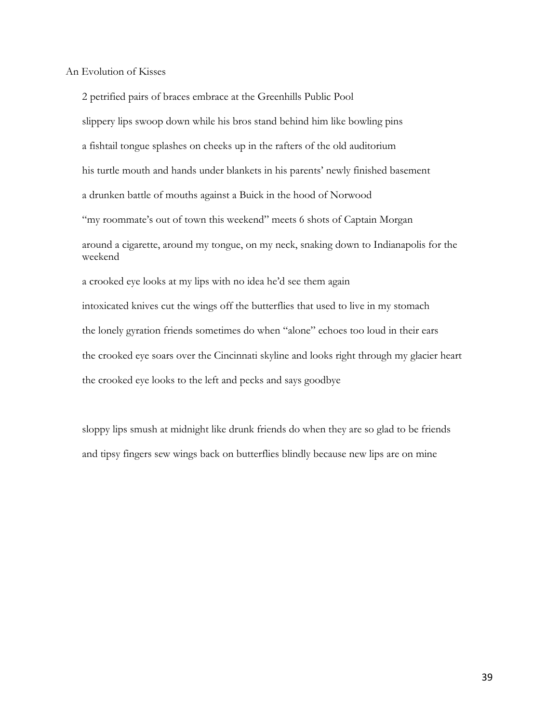An Evolution of Kisses

2 petrified pairs of braces embrace at the Greenhills Public Pool slippery lips swoop down while his bros stand behind him like bowling pins a fishtail tongue splashes on cheeks up in the rafters of the old auditorium his turtle mouth and hands under blankets in his parents' newly finished basement a drunken battle of mouths against a Buick in the hood of Norwood "my roommate's out of town this weekend" meets 6 shots of Captain Morgan around a cigarette, around my tongue, on my neck, snaking down to Indianapolis for the weekend a crooked eye looks at my lips with no idea he'd see them again intoxicated knives cut the wings off the butterflies that used to live in my stomach the lonely gyration friends sometimes do when "alone" echoes too loud in their ears the crooked eye soars over the Cincinnati skyline and looks right through my glacier heart the crooked eye looks to the left and pecks and says goodbye

sloppy lips smush at midnight like drunk friends do when they are so glad to be friends and tipsy fingers sew wings back on butterflies blindly because new lips are on mine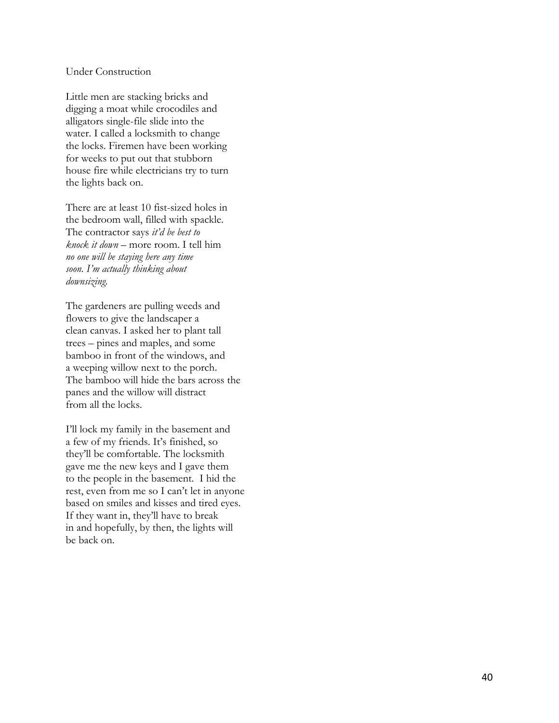#### Under Construction

Little men are stacking bricks and digging a moat while crocodiles and alligators single -file slide into the water. I called a locksmith to change the locks. Firemen have been working for weeks to put out that stubborn house fire while electricians try to turn the lights back on.

There are at least 10 fist -sized holes in the bedroom wall, filled with spackle. The contractor says *it'd be best to knock it down* – more room. I tell him *no one will be staying here any time soon. I'm actually thinking about downsizing.* 

The gardeners are pulling weeds and flowers to give the landscaper a clean canvas. I asked her to plant tall trees – pines and maples, and some bamboo in front of the windows, and a weeping willow next to the porch. The bamboo will hide the bars across the panes and the willow will distract from all the locks.

I'll lock my family in the basement and a few of my friends. It's finished, so they'll be comfortable. The locksmith gave me the new keys and I gave them to the people in the basement. I hid the rest, even from me so I can't let in anyone based on smiles and kisses and tired eyes. If they want in, they'll have to break in and hopefully, by then, the lights will be back on.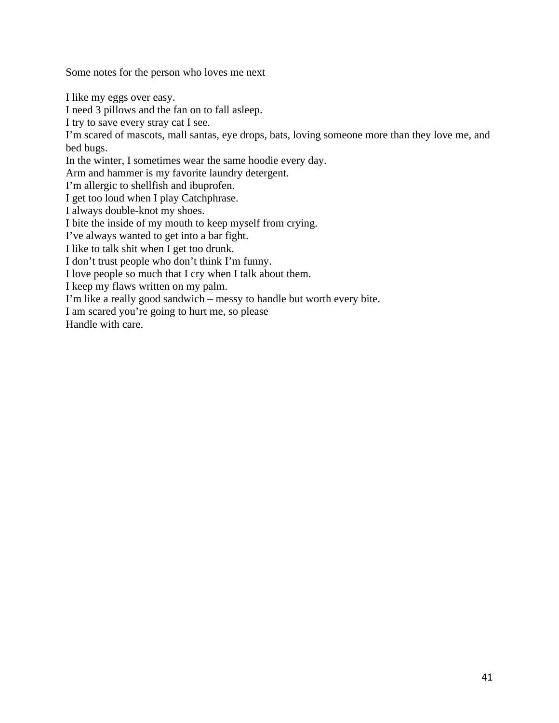Some notes for the person who loves me next

I like my eggs over easy.

I need 3 pillows and the fan on to fall asleep.

I try to save every stray cat I see.

I'm scared of mascots, mall santas, eye drops, bats, loving someone more than they love me, and bed bugs.

In the winter, I sometimes wear the same hoodie every day.

Arm and hammer is my favorite laundry detergent.

I'm allergic to shellfish and ibuprofen.

I get too loud when I play Catchphrase.

I always double-knot my shoes.

I bite the inside of my mouth to keep myself from crying.

I've always wanted to get into a bar fight.

I like to talk shit when I get too drunk.

I don't trust people who don't think I'm funny.

I love people so much that I cry when I talk about them.

I keep my flaws written on my palm.

I'm like a really good sandwich – messy to handle but worth every bite.

I am scared you're going to hurt me, so please

Handle with care.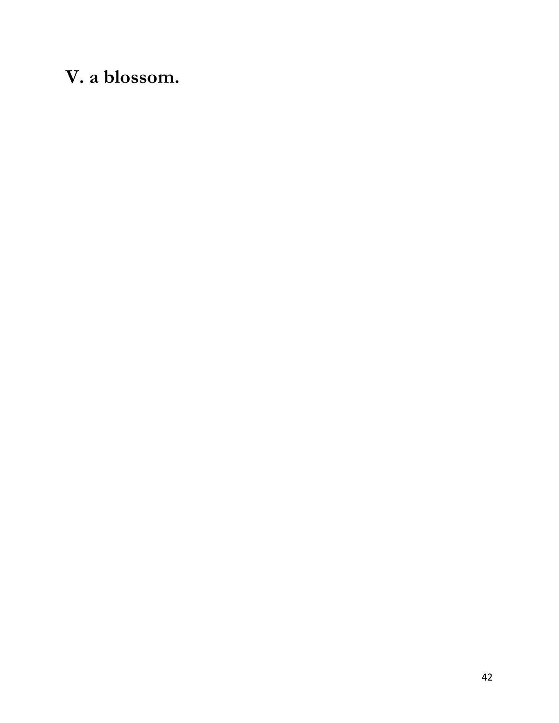# **V. a blossom.**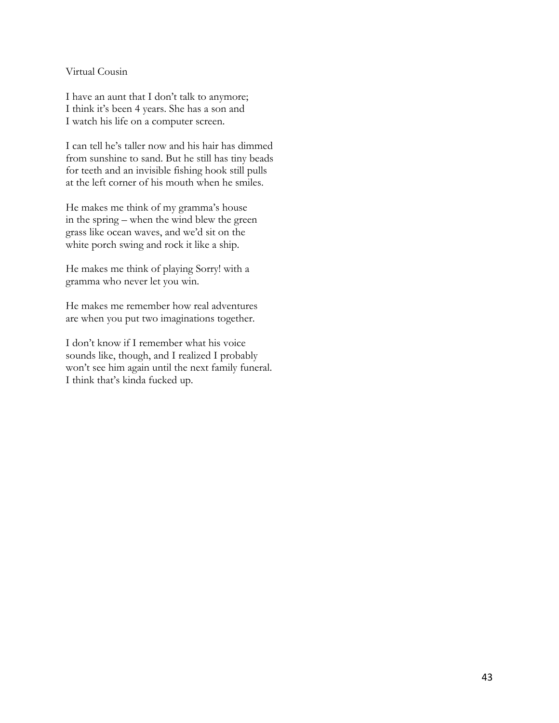# Virtual Cousin

I have an aunt that I don't talk to anymore; I think it's been 4 years. She has a son and I watch his life on a computer screen.

I can tell he's taller now and his hair has dimmed from sunshine to sand. But he still has tiny beads for teeth and an invisible fishing hook still pulls at the left corner of his mouth when he smiles.

He makes me think of my gramma's house in the spring – when the wind blew the green grass like ocean waves, and we'd sit on the white porch swing and rock it like a ship.

He makes me think of playing Sorry! with a gramma who never let you win.

He makes me remember how real adventures are when you put two imaginations together.

I don't know if I remember what his voice sounds like, though, and I realized I probably won't see him again until the next family funeral. I think that's kinda fucked up.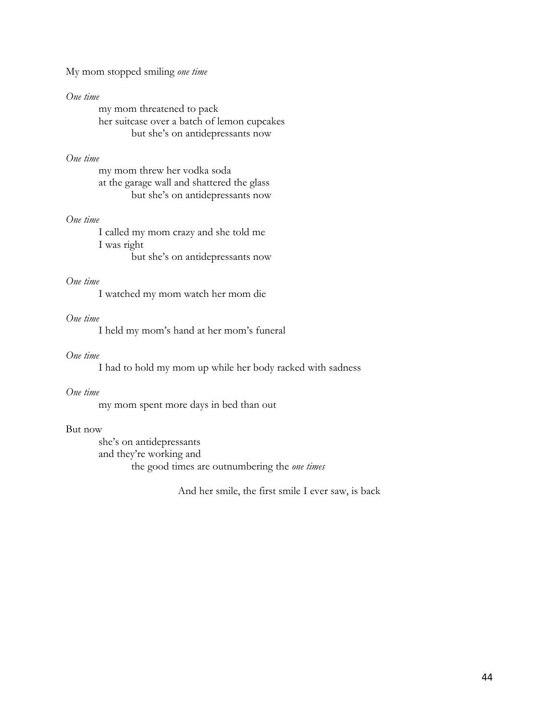My mom stopped smiling *one time*

#### *One time*

my mom threatened to pack her suitcase over a batch of lemon cupcakes but she's on antidepressants now

## *One time*

my mom threw her vodka soda at the garage wall and shattered the glass but she's on antidepressants now

#### *One time*

I called my mom crazy and she told me I was right but she's on antidepressants now

# *One time*

I watched my mom watch her mom die

## *One time*

I held my mom's hand at her mom's funeral

## *One time*

I had to hold my mom up while her body racked with sadness

# *One time*

my mom spent more days in bed than out

# But now

she's on antidepressants and they're working and the good times are outnumbering the *one times*

And her smile, the first smile I ever saw, is back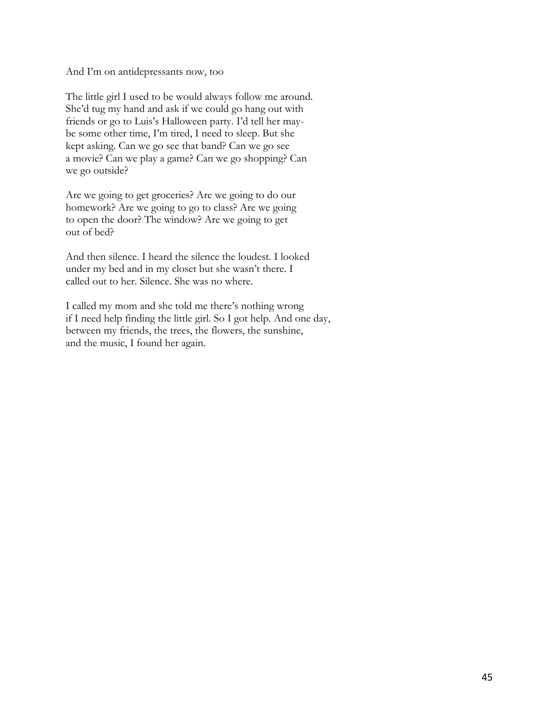And I'm on antidepressants now, too

The little girl I used to be would always follow me around. She'd tug my hand and ask if we could go hang out with friends or go to Luis's Halloween party. I'd tell her maybe some other time, I'm tired, I need to sleep. But she kept asking. Can we go see that band? Can we go see a movie? Can we play a game? Can we go shopping? Can we go outside?

Are we going to get groceries? Are we going to do our homework? Are we going to go to class? Are we going to open the door? The window? Are we going to get out of bed?

And then silence. I heard the silence the loudest. I looked under my bed and in my closet but she wasn't there. I called out to her. Silence. She was no where.

I called my mom and she told me there's nothing wrong if I need help finding the little girl. So I got help. And one day, between my friends, the trees, the flowers, the sunshine, and the music, I found her again.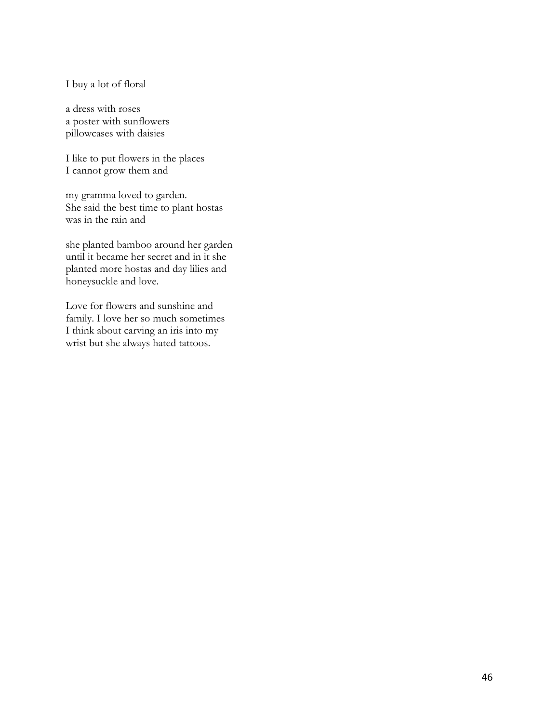I buy a lot of floral

a dress with roses a poster with sunflowers pillowcases with daisies

I like to put flowers in the places I cannot grow them and

my gramma loved to garden. She said the best time to plant hostas was in the rain and

she planted bamboo around her garden until it became her secret and in it she planted more hostas and day lilies and honeysuckle and love.

Love for flowers and sunshine and family. I love her so much sometimes I think about carving an iris into my wrist but she always hated tattoos.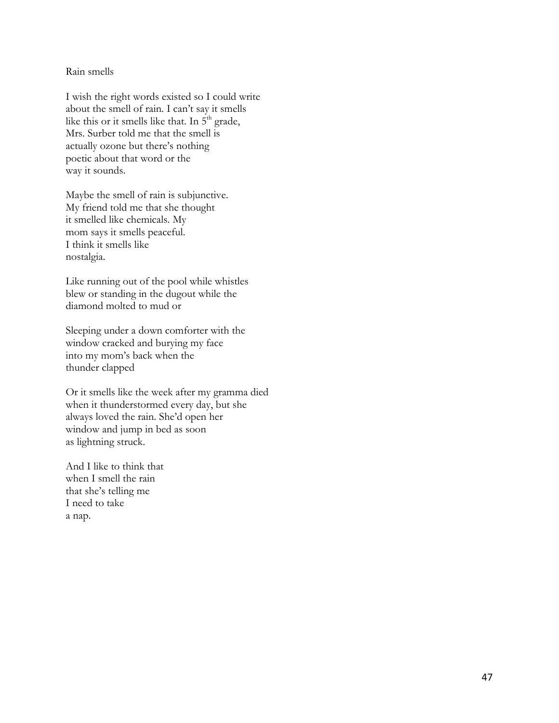Rain smells

I wish the right words existed so I could write about the smell of rain. I can't say it smells like this or it smells like that. In  $5<sup>th</sup>$  grade, Mrs. Surber told me that the smell is actually ozone but there's nothing poetic about that word or the way it sounds.

Maybe the smell of rain is subjunctive. My friend told me that she thought it smelled like chemicals. My mom says it smells peaceful. I think it smells like nostalgia.

Like running out of the pool while whistles blew or standing in the dugout while the diamond molted to mud or

Sleeping under a down comforter with the window cracked and burying my face into my mom's back when the thunder clapped

Or it smells like the week after my gramma died when it thunderstormed every day, but she always loved the rain. She'd open her window and jump in bed as soon as lightning struck.

And I like to think that when I smell the rain that she's telling me I need to take a nap.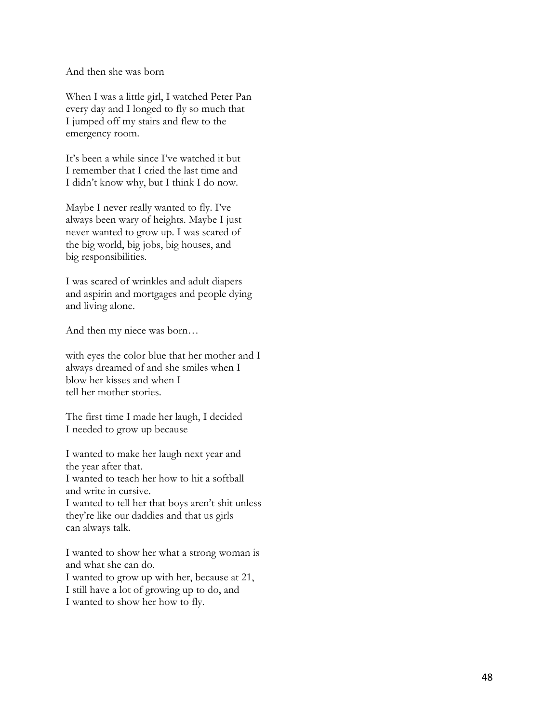And then she was born

When I was a little girl, I watched Peter Pan every day and I longed to fly so much that I jumped off my stairs and flew to the emergency room.

It's been a while since I've watched it but I remember that I cried the last time and I didn't know why, but I think I do now.

Maybe I never really wanted to fly. I've always been wary of heights. Maybe I just never wanted to grow up. I was scared of the big world, big jobs, big houses, and big responsibilities.

I was scared of wrinkles and adult diapers and aspirin and mortgages and people dying and living alone.

And then my niece was born…

with eyes the color blue that her mother and I always dreamed of and she smiles when I blow her kisses and when I tell her mother stories.

The first time I made her laugh, I decided I needed to grow up because

I wanted to make her laugh next year and the year after that. I wanted to teach her how to hit a softball and write in cursive. I wanted to tell her that boys aren't shit unless they're like our daddies and that us girls can always talk.

I wanted to show her what a strong woman is and what she can do. I wanted to grow up with her, because at 21, I still have a lot of growing up to do, and

I wanted to show her how to fly.